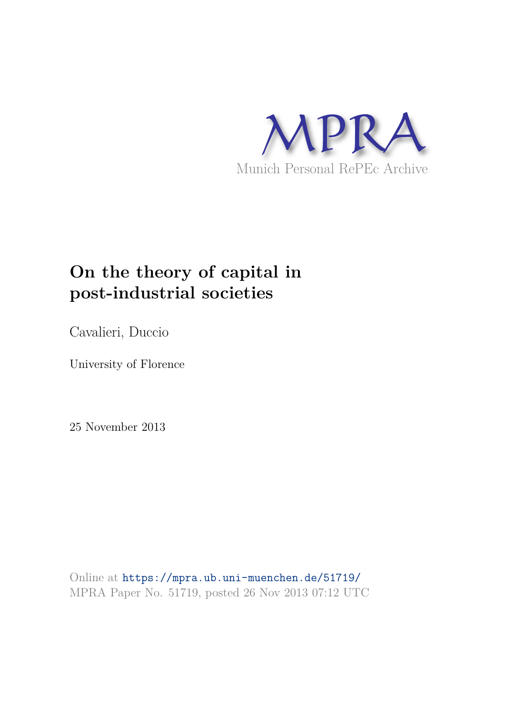

# **On the theory of capital in post-industrial societies**

Cavalieri, Duccio

University of Florence

25 November 2013

Online at https://mpra.ub.uni-muenchen.de/51719/ MPRA Paper No. 51719, posted 26 Nov 2013 07:12 UTC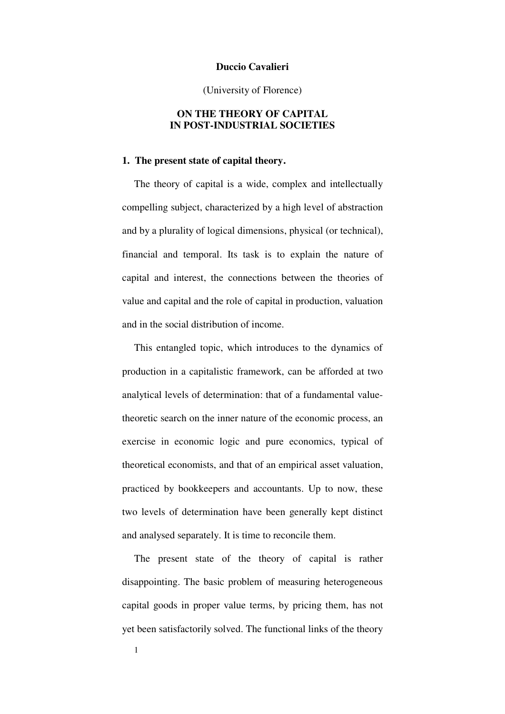### **Duccio Cavalieri**

### (University of Florence)

# **ON THE THEORY OF CAPITAL IN POST-INDUSTRIAL SOCIETIES**

### **1. The present state of capital theory.**

The theory of capital is a wide, complex and intellectually compelling subject, characterized by a high level of abstraction and by a plurality of logical dimensions, physical (or technical), financial and temporal. Its task is to explain the nature of capital and interest, the connections between the theories of value and capital and the role of capital in production, valuation and in the social distribution of income.

This entangled topic, which introduces to the dynamics of production in a capitalistic framework, can be afforded at two analytical levels of determination: that of a fundamental valuetheoretic search on the inner nature of the economic process, an exercise in economic logic and pure economics, typical of theoretical economists, and that of an empirical asset valuation, practiced by bookkeepers and accountants. Up to now, these two levels of determination have been generally kept distinct and analysed separately. It is time to reconcile them.

The present state of the theory of capital is rather disappointing. The basic problem of measuring heterogeneous capital goods in proper value terms, by pricing them, has not yet been satisfactorily solved. The functional links of the theory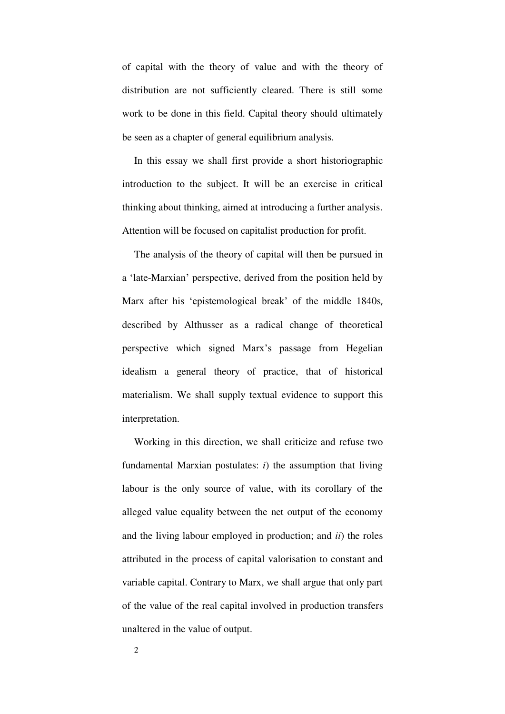of capital with the theory of value and with the theory of distribution are not sufficiently cleared. There is still some work to be done in this field. Capital theory should ultimately be seen as a chapter of general equilibrium analysis.

In this essay we shall first provide a short historiographic introduction to the subject. It will be an exercise in critical thinking about thinking, aimed at introducing a further analysis. Attention will be focused on capitalist production for profit.

The analysis of the theory of capital will then be pursued in a 'late-Marxian' perspective, derived from the position held by Marx after his 'epistemological break' of the middle 1840s, described by Althusser as a radical change of theoretical perspective which signed Marx's passage from Hegelian idealism a general theory of practice, that of historical materialism. We shall supply textual evidence to support this interpretation.

Working in this direction, we shall criticize and refuse two fundamental Marxian postulates: *i*) the assumption that living labour is the only source of value, with its corollary of the alleged value equality between the net output of the economy and the living labour employed in production; and *ii*) the roles attributed in the process of capital valorisation to constant and variable capital. Contrary to Marx, we shall argue that only part of the value of the real capital involved in production transfers unaltered in the value of output.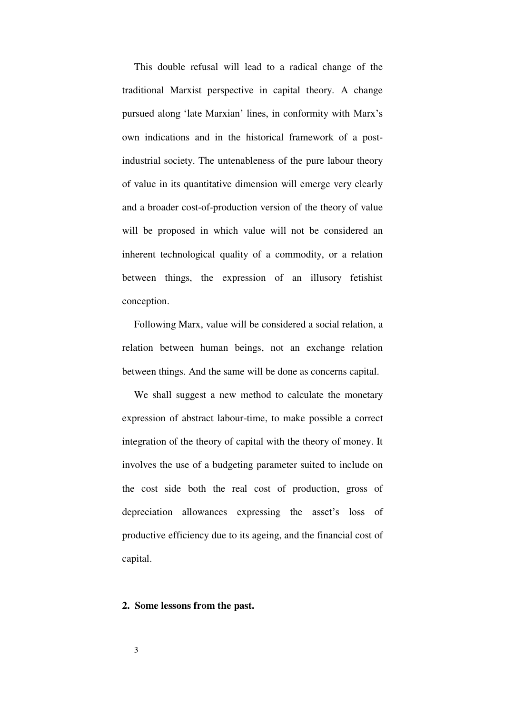This double refusal will lead to a radical change of the traditional Marxist perspective in capital theory. A change pursued along 'late Marxian' lines, in conformity with Marx's own indications and in the historical framework of a postindustrial society. The untenableness of the pure labour theory of value in its quantitative dimension will emerge very clearly and a broader cost-of-production version of the theory of value will be proposed in which value will not be considered an inherent technological quality of a commodity, or a relation between things, the expression of an illusory fetishist conception.

Following Marx, value will be considered a social relation, a relation between human beings, not an exchange relation between things. And the same will be done as concerns capital.

We shall suggest a new method to calculate the monetary expression of abstract labour-time, to make possible a correct integration of the theory of capital with the theory of money. It involves the use of a budgeting parameter suited to include on the cost side both the real cost of production, gross of depreciation allowances expressing the asset's loss of productive efficiency due to its ageing, and the financial cost of capital.

### **2. Some lessons from the past.**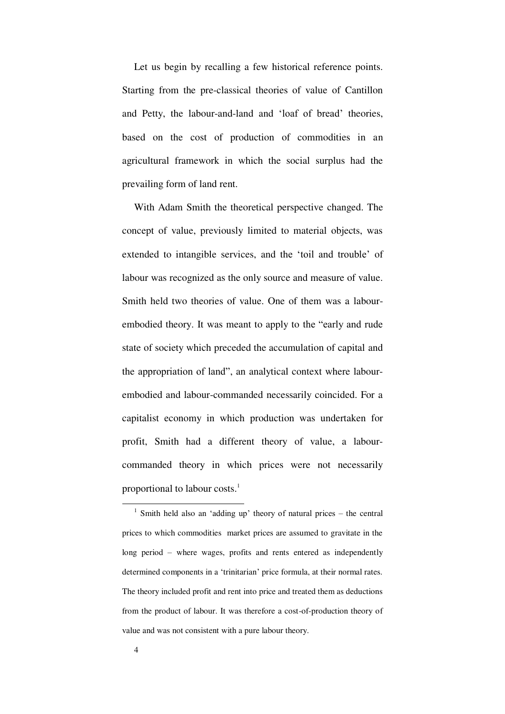Let us begin by recalling a few historical reference points. Starting from the pre-classical theories of value of Cantillon and Petty, the labour-and-land and 'loaf of bread' theories, based on the cost of production of commodities in an agricultural framework in which the social surplus had the prevailing form of land rent.

With Adam Smith the theoretical perspective changed. The concept of value, previously limited to material objects, was extended to intangible services, and the 'toil and trouble' of labour was recognized as the only source and measure of value. Smith held two theories of value. One of them was a labourembodied theory. It was meant to apply to the "early and rude state of society which preceded the accumulation of capital and the appropriation of land", an analytical context where labourembodied and labour-commanded necessarily coincided. For a capitalist economy in which production was undertaken for profit, Smith had a different theory of value, a labourcommanded theory in which prices were not necessarily proportional to labour costs.<sup>1</sup>

<sup>&</sup>lt;sup>1</sup> Smith held also an 'adding up' theory of natural prices – the central prices to which commodities market prices are assumed to gravitate in the long period – where wages, profits and rents entered as independently determined components in a 'trinitarian' price formula, at their normal rates. The theory included profit and rent into price and treated them as deductions from the product of labour. It was therefore a cost-of-production theory of value and was not consistent with a pure labour theory.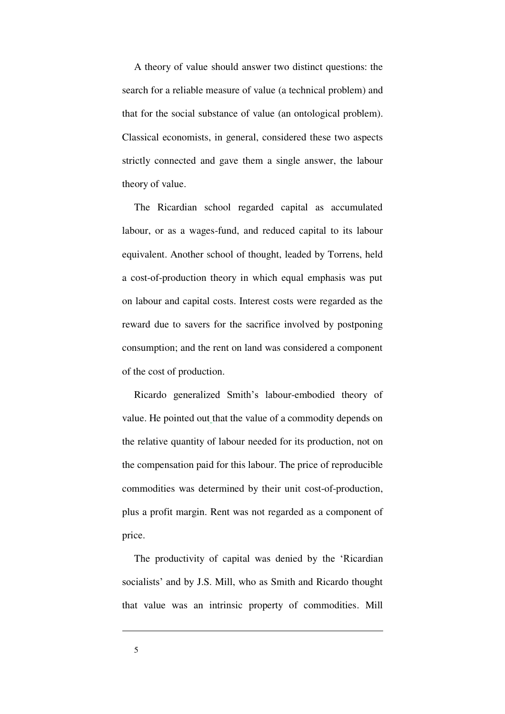A theory of value should answer two distinct questions: the search for a reliable measure of value (a technical problem) and that for the social substance of value (an ontological problem). Classical economists, in general, considered these two aspects strictly connected and gave them a single answer, the labour theory of value.

The Ricardian school regarded capital as accumulated labour, or as a wages-fund, and reduced capital to its labour equivalent. Another school of thought, leaded by Torrens, held a cost-of-production theory in which equal emphasis was put on labour and capital costs. Interest costs were regarded as the reward due to savers for the sacrifice involved by postponing consumption; and the rent on land was considered a component of the cost of production.

Ricardo generalized Smith's labour-embodied theory of value. He pointed out that the value of a commodity depends on the relative quantity of labour needed for its production, not on the compensation paid for this labour. The price of reproducible commodities was determined by their unit cost-of-production, plus a profit margin. Rent was not regarded as a component of price.

The productivity of capital was denied by the 'Ricardian socialists' and by J.S. Mill, who as Smith and Ricardo thought that value was an intrinsic property of commodities. Mill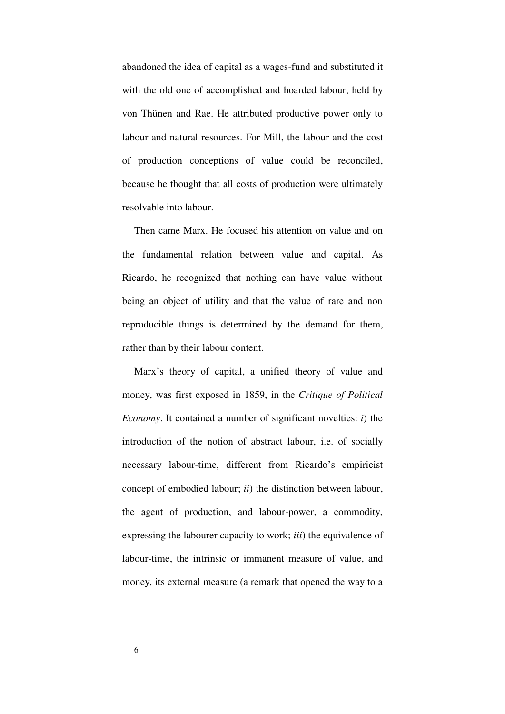abandoned the idea of capital as a wages-fund and substituted it with the old one of accomplished and hoarded labour, held by von Thünen and Rae. He attributed productive power only to labour and natural resources. For Mill, the labour and the cost of production conceptions of value could be reconciled, because he thought that all costs of production were ultimately resolvable into labour.

Then came Marx. He focused his attention on value and on the fundamental relation between value and capital. As Ricardo, he recognized that nothing can have value without being an object of utility and that the value of rare and non reproducible things is determined by the demand for them, rather than by their labour content.

Marx's theory of capital, a unified theory of value and money, was first exposed in 1859, in the *Critique of Political Economy*. It contained a number of significant novelties: *i*) the introduction of the notion of abstract labour, i.e. of socially necessary labour-time, different from Ricardo's empiricist concept of embodied labour; *ii*) the distinction between labour, the agent of production, and labour-power, a commodity, expressing the labourer capacity to work; *iii*) the equivalence of labour-time, the intrinsic or immanent measure of value, and money, its external measure (a remark that opened the way to a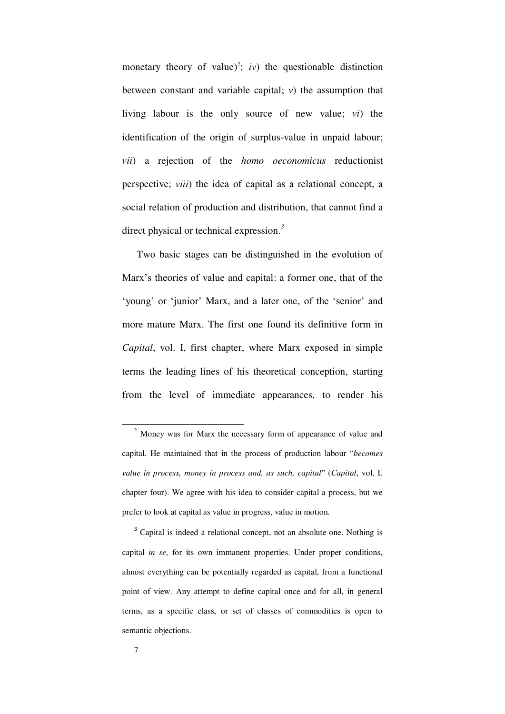monetary theory of value)<sup>2</sup>; *iv*) the questionable distinction between constant and variable capital; *v*) the assumption that living labour is the only source of new value; *vi*) the identification of the origin of surplus-value in unpaid labour; *vii*) a rejection of the *homo oeconomicus* reductionist perspective; *viii*) the idea of capital as a relational concept, a social relation of production and distribution, that cannot find a direct physical or technical expression.*<sup>3</sup>*

 Two basic stages can be distinguished in the evolution of Marx's theories of value and capital: a former one, that of the 'young' or 'junior' Marx, and a later one, of the 'senior' and more mature Marx. The first one found its definitive form in *Capital*, vol. I, first chapter, where Marx exposed in simple terms the leading lines of his theoretical conception, starting from the level of immediate appearances, to render his

<sup>&</sup>lt;sup>2</sup> Money was for Marx the necessary form of appearance of value and capital. He maintained that in the process of production labour "*becomes value in process, money in process and, as such, capital*" (*Capital*, vol. I. chapter four). We agree with his idea to consider capital a process, but we prefer to look at capital as value in progress, value in motion.

<sup>&</sup>lt;sup>3</sup> Capital is indeed a relational concept, not an absolute one. Nothing is capital *in se*, for its own immanent properties. Under proper conditions, almost everything can be potentially regarded as capital, from a functional point of view. Any attempt to define capital once and for all, in general terms, as a specific class, or set of classes of commodities is open to semantic objections.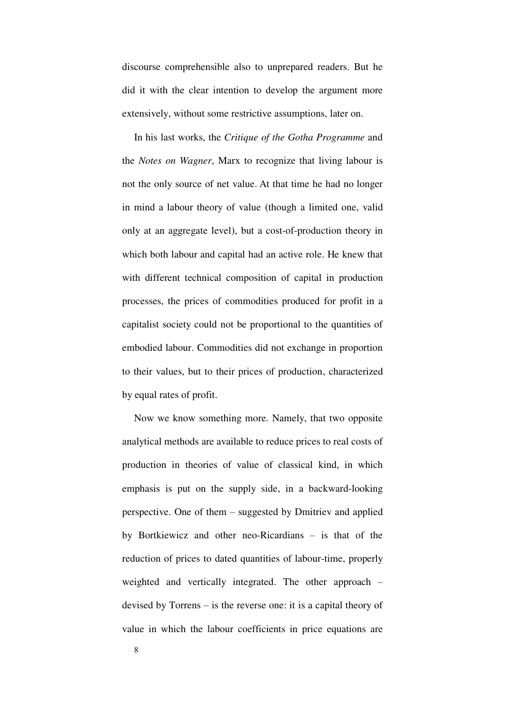discourse comprehensible also to unprepared readers. But he did it with the clear intention to develop the argument more extensively, without some restrictive assumptions, later on.

In his last works, the *Critique of the Gotha Programme* and the *Notes on Wagner*, Marx to recognize that living labour is not the only source of net value. At that time he had no longer in mind a labour theory of value (though a limited one, valid only at an aggregate level), but a cost-of-production theory in which both labour and capital had an active role. He knew that with different technical composition of capital in production processes, the prices of commodities produced for profit in a capitalist society could not be proportional to the quantities of embodied labour. Commodities did not exchange in proportion to their values, but to their prices of production, characterized by equal rates of profit.

Now we know something more. Namely, that two opposite analytical methods are available to reduce prices to real costs of production in theories of value of classical kind, in which emphasis is put on the supply side, in a backward-looking perspective. One of them – suggested by Dmitriev and applied by Bortkiewicz and other neo-Ricardians – is that of the reduction of prices to dated quantities of labour-time, properly weighted and vertically integrated. The other approach – devised by Torrens – is the reverse one: it is a capital theory of value in which the labour coefficients in price equations are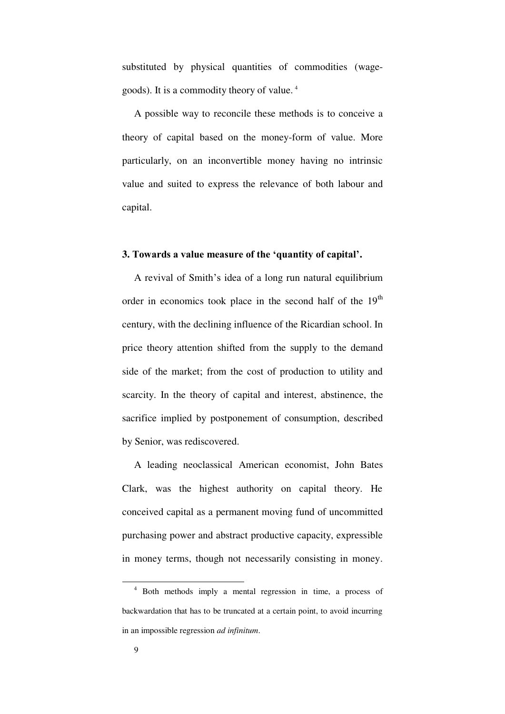substituted by physical quantities of commodities (wagegoods). It is a commodity theory of value. <sup>4</sup>

A possible way to reconcile these methods is to conceive a theory of capital based on the money-form of value. More particularly, on an inconvertible money having no intrinsic value and suited to express the relevance of both labour and capital.

### **3. Towards a value measure of the 'quantity of capital'.**

A revival of Smith's idea of a long run natural equilibrium order in economics took place in the second half of the  $19<sup>th</sup>$ century, with the declining influence of the Ricardian school. In price theory attention shifted from the supply to the demand side of the market; from the cost of production to utility and scarcity. In the theory of capital and interest, abstinence, the sacrifice implied by postponement of consumption, described by Senior, was rediscovered.

A leading neoclassical American economist, John Bates Clark, was the highest authority on capital theory. He conceived capital as a permanent moving fund of uncommitted purchasing power and abstract productive capacity, expressible in money terms, though not necessarily consisting in money.

<sup>4</sup> Both methods imply a mental regression in time, a process of backwardation that has to be truncated at a certain point, to avoid incurring in an impossible regression *ad infinitum*.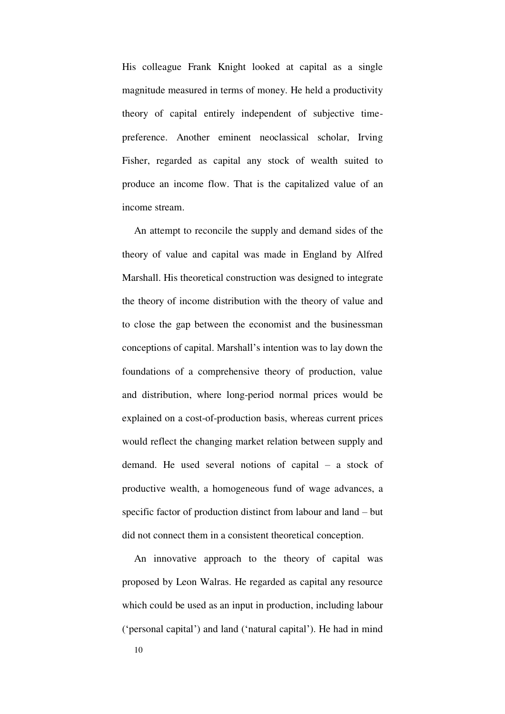His colleague Frank Knight looked at capital as a single magnitude measured in terms of money. He held a productivity theory of capital entirely independent of subjective timepreference. Another eminent neoclassical scholar, Irving Fisher, regarded as capital any stock of wealth suited to produce an income flow. That is the capitalized value of an income stream.

An attempt to reconcile the supply and demand sides of the theory of value and capital was made in England by Alfred Marshall. His theoretical construction was designed to integrate the theory of income distribution with the theory of value and to close the gap between the economist and the businessman conceptions of capital. Marshall's intention was to lay down the foundations of a comprehensive theory of production, value and distribution, where long-period normal prices would be explained on a cost-of-production basis, whereas current prices would reflect the changing market relation between supply and demand. He used several notions of capital – a stock of productive wealth, a homogeneous fund of wage advances, a specific factor of production distinct from labour and land – but did not connect them in a consistent theoretical conception.

An innovative approach to the theory of capital was proposed by Leon Walras. He regarded as capital any resource which could be used as an input in production, including labour ('personal capital') and land ('natural capital'). He had in mind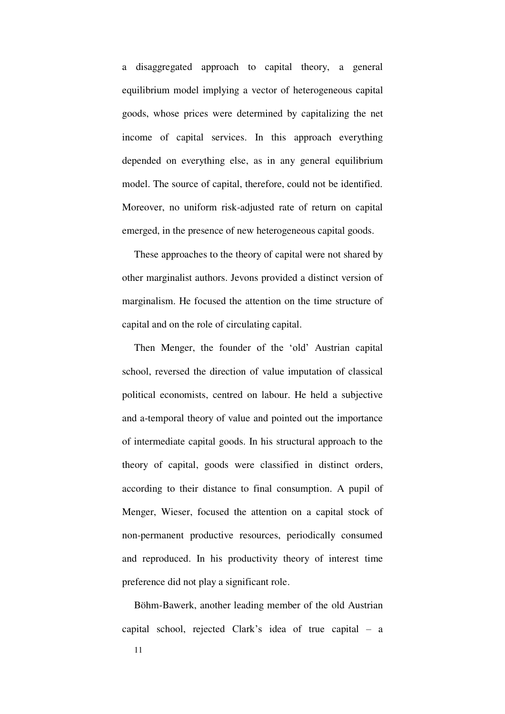a disaggregated approach to capital theory, a general equilibrium model implying a vector of heterogeneous capital goods, whose prices were determined by capitalizing the net income of capital services. In this approach everything depended on everything else, as in any general equilibrium model. The source of capital, therefore, could not be identified. Moreover, no uniform risk-adjusted rate of return on capital emerged, in the presence of new heterogeneous capital goods.

These approaches to the theory of capital were not shared by other marginalist authors. Jevons provided a distinct version of marginalism. He focused the attention on the time structure of capital and on the role of circulating capital.

Then Menger, the founder of the 'old' Austrian capital school, reversed the direction of value imputation of classical political economists, centred on labour. He held a subjective and a-temporal theory of value and pointed out the importance of intermediate capital goods. In his structural approach to the theory of capital, goods were classified in distinct orders, according to their distance to final consumption. A pupil of Menger, Wieser, focused the attention on a capital stock of non-permanent productive resources, periodically consumed and reproduced. In his productivity theory of interest time preference did not play a significant role.

Böhm-Bawerk, another leading member of the old Austrian capital school, rejected Clark's idea of true capital – a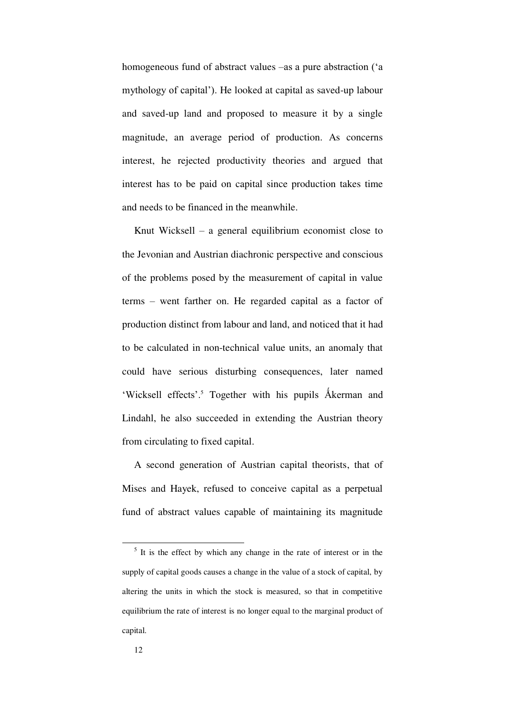homogeneous fund of abstract values –as a pure abstraction ('a mythology of capital'). He looked at capital as saved-up labour and saved-up land and proposed to measure it by a single magnitude, an average period of production. As concerns interest, he rejected productivity theories and argued that interest has to be paid on capital since production takes time and needs to be financed in the meanwhile.

Knut Wicksell – a general equilibrium economist close to the Jevonian and Austrian diachronic perspective and conscious of the problems posed by the measurement of capital in value terms – went farther on. He regarded capital as a factor of production distinct from labour and land, and noticed that it had to be calculated in non-technical value units, an anomaly that could have serious disturbing consequences, later named 'Wicksell effects'.<sup>5</sup> Together with his pupils Åkerman and Lindahl, he also succeeded in extending the Austrian theory from circulating to fixed capital.

A second generation of Austrian capital theorists, that of Mises and Hayek, refused to conceive capital as a perpetual fund of abstract values capable of maintaining its magnitude

<sup>&</sup>lt;sup>5</sup> It is the effect by which any change in the rate of interest or in the supply of capital goods causes a change in the value of a stock of capital, by altering the units in which the stock is measured, so that in competitive equilibrium the rate of interest is no longer equal to the marginal product of capital.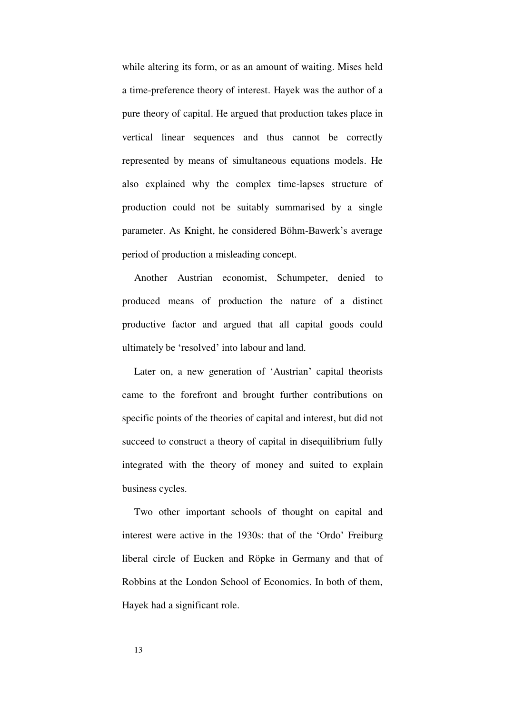while altering its form, or as an amount of waiting. Mises held a time-preference theory of interest. Hayek was the author of a pure theory of capital. He argued that production takes place in vertical linear sequences and thus cannot be correctly represented by means of simultaneous equations models. He also explained why the complex time-lapses structure of production could not be suitably summarised by a single parameter. As Knight, he considered Böhm-Bawerk's average period of production a misleading concept.

Another Austrian economist, Schumpeter, denied to produced means of production the nature of a distinct productive factor and argued that all capital goods could ultimately be 'resolved' into labour and land.

Later on, a new generation of 'Austrian' capital theorists came to the forefront and brought further contributions on specific points of the theories of capital and interest, but did not succeed to construct a theory of capital in disequilibrium fully integrated with the theory of money and suited to explain business cycles.

Two other important schools of thought on capital and interest were active in the 1930s: that of the 'Ordo' Freiburg liberal circle of Eucken and Röpke in Germany and that of Robbins at the London School of Economics. In both of them, Hayek had a significant role.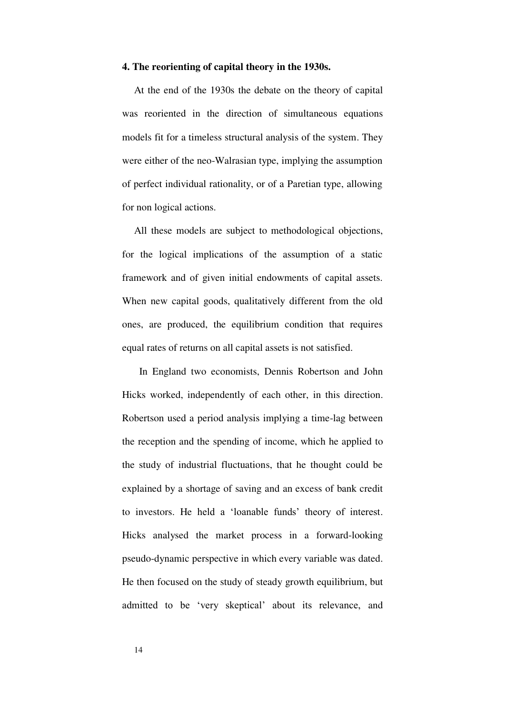### **4. The reorienting of capital theory in the 1930s.**

At the end of the 1930s the debate on the theory of capital was reoriented in the direction of simultaneous equations models fit for a timeless structural analysis of the system. They were either of the neo-Walrasian type, implying the assumption of perfect individual rationality, or of a Paretian type, allowing for non logical actions.

All these models are subject to methodological objections, for the logical implications of the assumption of a static framework and of given initial endowments of capital assets. When new capital goods, qualitatively different from the old ones, are produced, the equilibrium condition that requires equal rates of returns on all capital assets is not satisfied.

 In England two economists, Dennis Robertson and John Hicks worked, independently of each other, in this direction. Robertson used a period analysis implying a time-lag between the reception and the spending of income, which he applied to the study of industrial fluctuations, that he thought could be explained by a shortage of saving and an excess of bank credit to investors. He held a 'loanable funds' theory of interest. Hicks analysed the market process in a forward-looking pseudo-dynamic perspective in which every variable was dated. He then focused on the study of steady growth equilibrium, but admitted to be 'very skeptical' about its relevance, and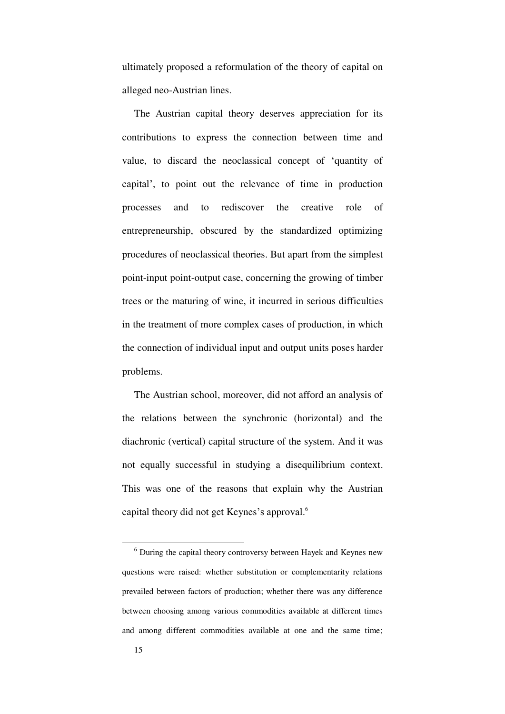ultimately proposed a reformulation of the theory of capital on alleged neo-Austrian lines.

The Austrian capital theory deserves appreciation for its contributions to express the connection between time and value, to discard the neoclassical concept of 'quantity of capital', to point out the relevance of time in production processes and to rediscover the creative role of entrepreneurship, obscured by the standardized optimizing procedures of neoclassical theories. But apart from the simplest point-input point-output case, concerning the growing of timber trees or the maturing of wine, it incurred in serious difficulties in the treatment of more complex cases of production, in which the connection of individual input and output units poses harder problems.

The Austrian school, moreover, did not afford an analysis of the relations between the synchronic (horizontal) and the diachronic (vertical) capital structure of the system. And it was not equally successful in studying a disequilibrium context. This was one of the reasons that explain why the Austrian capital theory did not get Keynes's approval.<sup>6</sup>

<sup>6</sup> During the capital theory controversy between Hayek and Keynes new questions were raised: whether substitution or complementarity relations prevailed between factors of production; whether there was any difference between choosing among various commodities available at different times and among different commodities available at one and the same time;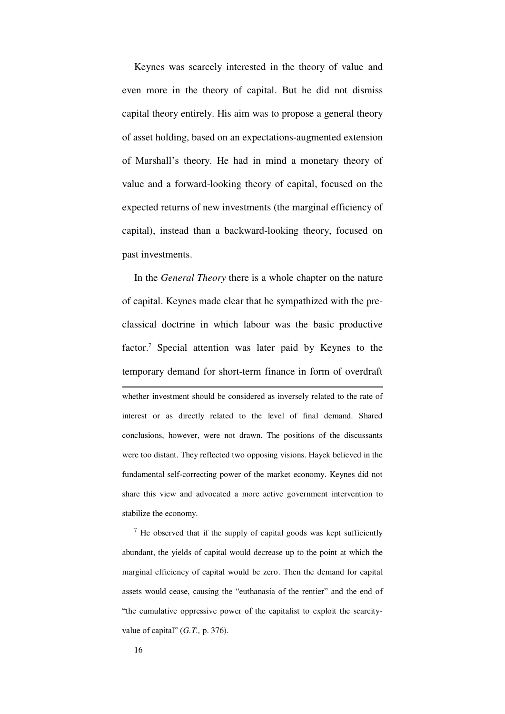Keynes was scarcely interested in the theory of value and even more in the theory of capital. But he did not dismiss capital theory entirely. His aim was to propose a general theory of asset holding, based on an expectations-augmented extension of Marshall's theory. He had in mind a monetary theory of value and a forward-looking theory of capital, focused on the expected returns of new investments (the marginal efficiency of capital), instead than a backward-looking theory, focused on past investments.

In the *General Theory* there is a whole chapter on the nature of capital. Keynes made clear that he sympathized with the preclassical doctrine in which labour was the basic productive factor.<sup>7</sup> Special attention was later paid by Keynes to the temporary demand for short-term finance in form of overdraft . whether investment should be considered as inversely related to the rate of interest or as directly related to the level of final demand. Shared conclusions, however, were not drawn. The positions of the discussants were too distant. They reflected two opposing visions. Hayek believed in the fundamental self-correcting power of the market economy. Keynes did not share this view and advocated a more active government intervention to stabilize the economy.

 $7$  He observed that if the supply of capital goods was kept sufficiently abundant, the yields of capital would decrease up to the point at which the marginal efficiency of capital would be zero. Then the demand for capital assets would cease, causing the "euthanasia of the rentier" and the end of "the cumulative oppressive power of the capitalist to exploit the scarcityvalue of capital" (*G.T.,* p. 376).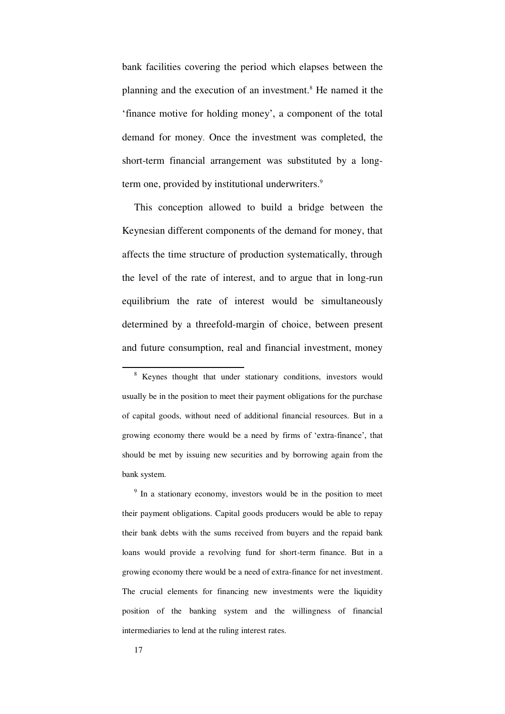bank facilities covering the period which elapses between the planning and the execution of an investment.<sup>8</sup> He named it the 'finance motive for holding money', a component of the total demand for money. Once the investment was completed, the short-term financial arrangement was substituted by a longterm one, provided by institutional underwriters.<sup>9</sup>

This conception allowed to build a bridge between the Keynesian different components of the demand for money, that affects the time structure of production systematically, through the level of the rate of interest, and to argue that in long-run equilibrium the rate of interest would be simultaneously determined by a threefold-margin of choice, between present and future consumption, real and financial investment, money

<sup>9</sup> In a stationary economy, investors would be in the position to meet their payment obligations. Capital goods producers would be able to repay their bank debts with the sums received from buyers and the repaid bank loans would provide a revolving fund for short-term finance. But in a growing economy there would be a need of extra-finance for net investment. The crucial elements for financing new investments were the liquidity position of the banking system and the willingness of financial intermediaries to lend at the ruling interest rates.

<sup>&</sup>lt;sup>8</sup> Keynes thought that under stationary conditions, investors would usually be in the position to meet their payment obligations for the purchase of capital goods, without need of additional financial resources. But in a growing economy there would be a need by firms of 'extra-finance', that should be met by issuing new securities and by borrowing again from the bank system.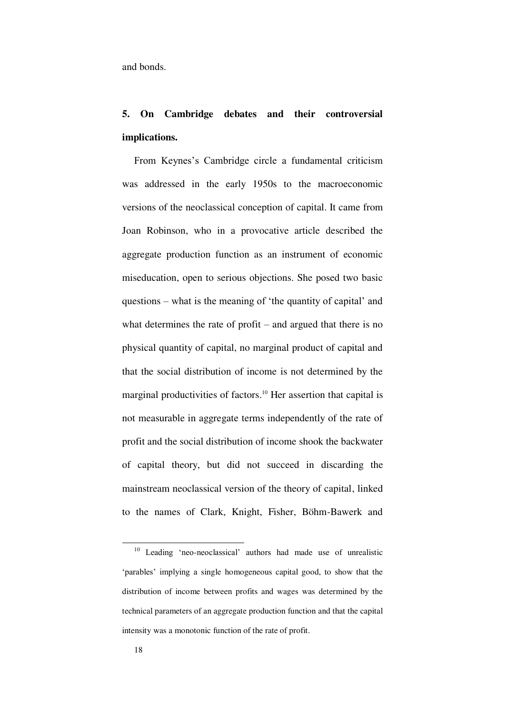and bonds.

# **5. On Cambridge debates and their controversial implications.**

From Keynes's Cambridge circle a fundamental criticism was addressed in the early 1950s to the macroeconomic versions of the neoclassical conception of capital. It came from Joan Robinson, who in a provocative article described the aggregate production function as an instrument of economic miseducation, open to serious objections. She posed two basic questions – what is the meaning of 'the quantity of capital' and what determines the rate of profit – and argued that there is no physical quantity of capital, no marginal product of capital and that the social distribution of income is not determined by the marginal productivities of factors.<sup>10</sup> Her assertion that capital is not measurable in aggregate terms independently of the rate of profit and the social distribution of income shook the backwater of capital theory, but did not succeed in discarding the mainstream neoclassical version of the theory of capital, linked to the names of Clark, Knight, Fisher, Böhm-Bawerk and

<sup>10</sup> Leading 'neo-neoclassical' authors had made use of unrealistic 'parables' implying a single homogeneous capital good, to show that the distribution of income between profits and wages was determined by the technical parameters of an aggregate production function and that the capital intensity was a monotonic function of the rate of profit.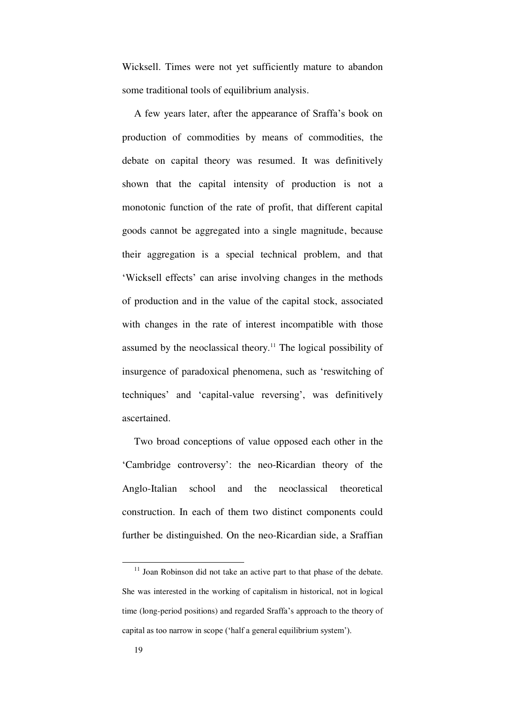Wicksell. Times were not yet sufficiently mature to abandon some traditional tools of equilibrium analysis.

A few years later, after the appearance of Sraffa's book on production of commodities by means of commodities, the debate on capital theory was resumed. It was definitively shown that the capital intensity of production is not a monotonic function of the rate of profit, that different capital goods cannot be aggregated into a single magnitude, because their aggregation is a special technical problem, and that 'Wicksell effects' can arise involving changes in the methods of production and in the value of the capital stock, associated with changes in the rate of interest incompatible with those assumed by the neoclassical theory.<sup>11</sup> The logical possibility of insurgence of paradoxical phenomena, such as 'reswitching of techniques' and 'capital-value reversing', was definitively ascertained.

Two broad conceptions of value opposed each other in the 'Cambridge controversy': the neo-Ricardian theory of the Anglo-Italian school and the neoclassical theoretical construction. In each of them two distinct components could further be distinguished. On the neo-Ricardian side, a Sraffian

<sup>&</sup>lt;sup>11</sup> Joan Robinson did not take an active part to that phase of the debate. She was interested in the working of capitalism in historical, not in logical time (long-period positions) and regarded Sraffa's approach to the theory of capital as too narrow in scope ('half a general equilibrium system').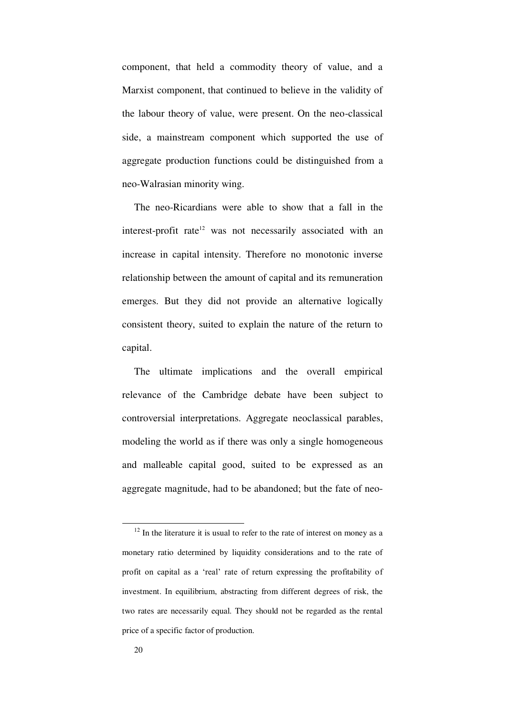component, that held a commodity theory of value, and a Marxist component, that continued to believe in the validity of the labour theory of value, were present. On the neo-classical side, a mainstream component which supported the use of aggregate production functions could be distinguished from a neo-Walrasian minority wing.

The neo-Ricardians were able to show that a fall in the interest-profit rate $12$  was not necessarily associated with an increase in capital intensity. Therefore no monotonic inverse relationship between the amount of capital and its remuneration emerges. But they did not provide an alternative logically consistent theory, suited to explain the nature of the return to capital.

The ultimate implications and the overall empirical relevance of the Cambridge debate have been subject to controversial interpretations. Aggregate neoclassical parables, modeling the world as if there was only a single homogeneous and malleable capital good, suited to be expressed as an aggregate magnitude, had to be abandoned; but the fate of neo-

 $12$  In the literature it is usual to refer to the rate of interest on money as a monetary ratio determined by liquidity considerations and to the rate of profit on capital as a 'real' rate of return expressing the profitability of investment. In equilibrium, abstracting from different degrees of risk, the two rates are necessarily equal. They should not be regarded as the rental price of a specific factor of production.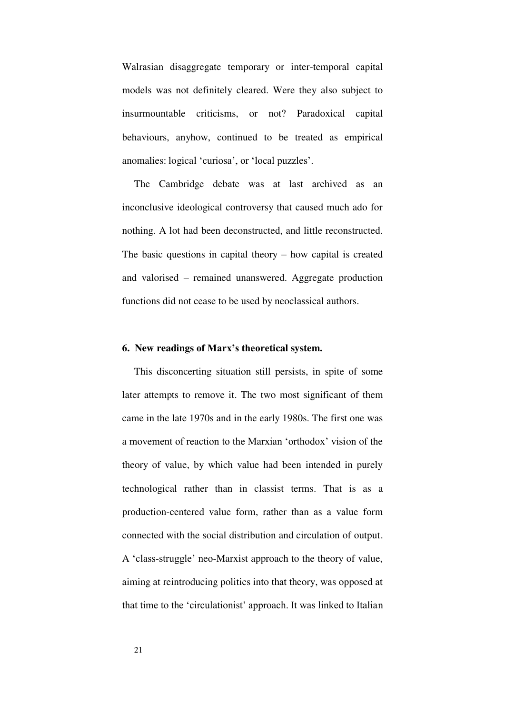Walrasian disaggregate temporary or inter-temporal capital models was not definitely cleared. Were they also subject to insurmountable criticisms, or not? Paradoxical capital behaviours, anyhow, continued to be treated as empirical anomalies: logical 'curiosa', or 'local puzzles'.

The Cambridge debate was at last archived as an inconclusive ideological controversy that caused much ado for nothing. A lot had been deconstructed, and little reconstructed. The basic questions in capital theory  $-$  how capital is created and valorised – remained unanswered. Aggregate production functions did not cease to be used by neoclassical authors.

## **6. New readings of Marx's theoretical system.**

This disconcerting situation still persists, in spite of some later attempts to remove it. The two most significant of them came in the late 1970s and in the early 1980s. The first one was a movement of reaction to the Marxian 'orthodox' vision of the theory of value, by which value had been intended in purely technological rather than in classist terms. That is as a production-centered value form, rather than as a value form connected with the social distribution and circulation of output. A 'class-struggle' neo-Marxist approach to the theory of value, aiming at reintroducing politics into that theory, was opposed at that time to the 'circulationist' approach. It was linked to Italian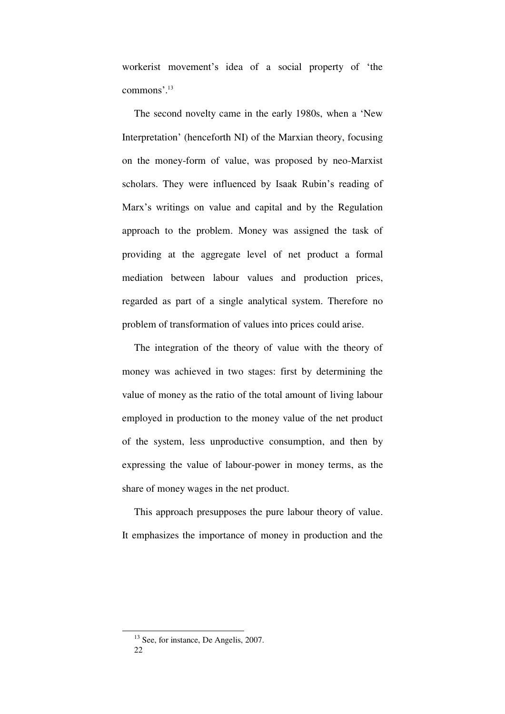workerist movement's idea of a social property of 'the commons'. 13

The second novelty came in the early 1980s, when a 'New Interpretation' (henceforth NI) of the Marxian theory, focusing on the money-form of value, was proposed by neo-Marxist scholars. They were influenced by Isaak Rubin's reading of Marx's writings on value and capital and by the Regulation approach to the problem. Money was assigned the task of providing at the aggregate level of net product a formal mediation between labour values and production prices, regarded as part of a single analytical system. Therefore no problem of transformation of values into prices could arise.

The integration of the theory of value with the theory of money was achieved in two stages: first by determining the value of money as the ratio of the total amount of living labour employed in production to the money value of the net product of the system, less unproductive consumption, and then by expressing the value of labour-power in money terms, as the share of money wages in the net product.

This approach presupposes the pure labour theory of value. It emphasizes the importance of money in production and the

22 <sup>13</sup> See, for instance, De Angelis, 2007.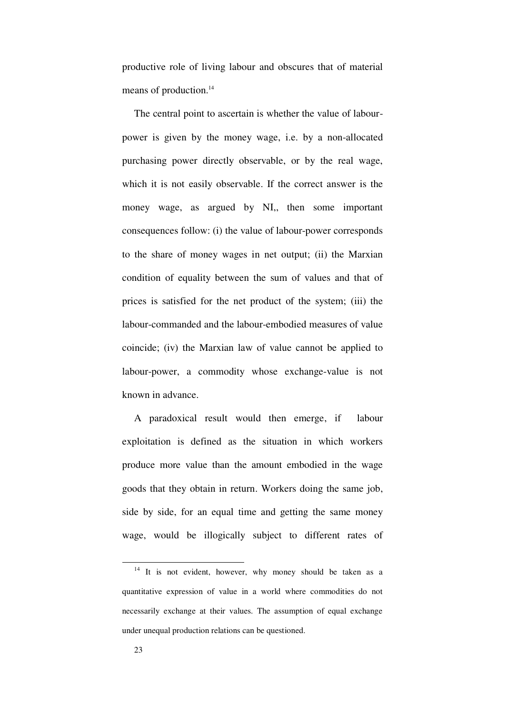productive role of living labour and obscures that of material means of production.<sup>14</sup>

The central point to ascertain is whether the value of labourpower is given by the money wage, i.e. by a non-allocated purchasing power directly observable, or by the real wage, which it is not easily observable. If the correct answer is the money wage, as argued by NI,, then some important consequences follow: (i) the value of labour-power corresponds to the share of money wages in net output; (ii) the Marxian condition of equality between the sum of values and that of prices is satisfied for the net product of the system; (iii) the labour-commanded and the labour-embodied measures of value coincide; (iv) the Marxian law of value cannot be applied to labour-power, a commodity whose exchange-value is not known in advance.

A paradoxical result would then emerge, if labour exploitation is defined as the situation in which workers produce more value than the amount embodied in the wage goods that they obtain in return. Workers doing the same job, side by side, for an equal time and getting the same money wage, would be illogically subject to different rates of

 $14$  It is not evident, however, why money should be taken as a quantitative expression of value in a world where commodities do not necessarily exchange at their values. The assumption of equal exchange under unequal production relations can be questioned.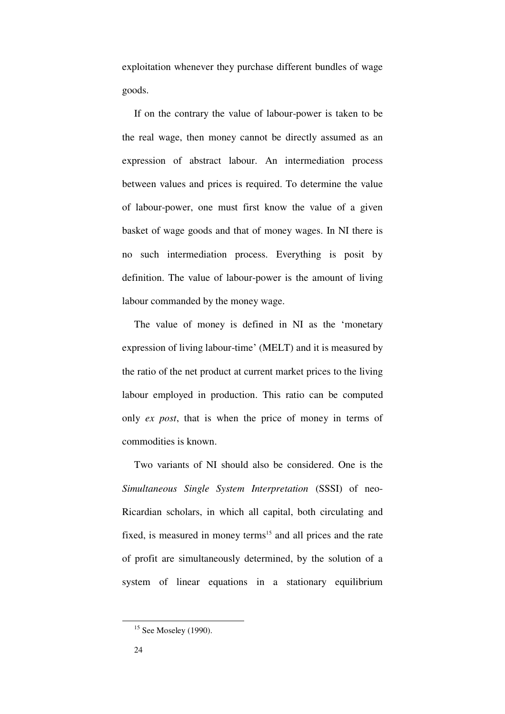exploitation whenever they purchase different bundles of wage goods.

If on the contrary the value of labour-power is taken to be the real wage, then money cannot be directly assumed as an expression of abstract labour. An intermediation process between values and prices is required. To determine the value of labour-power, one must first know the value of a given basket of wage goods and that of money wages. In NI there is no such intermediation process. Everything is posit by definition. The value of labour-power is the amount of living labour commanded by the money wage.

The value of money is defined in NI as the 'monetary expression of living labour-time' (MELT) and it is measured by the ratio of the net product at current market prices to the living labour employed in production. This ratio can be computed only *ex post*, that is when the price of money in terms of commodities is known.

Two variants of NI should also be considered. One is the *Simultaneous Single System Interpretation* (SSSI) of neo-Ricardian scholars, in which all capital, both circulating and fixed, is measured in money terms<sup>15</sup> and all prices and the rate of profit are simultaneously determined, by the solution of a system of linear equations in a stationary equilibrium

 $15$  See Moseley (1990).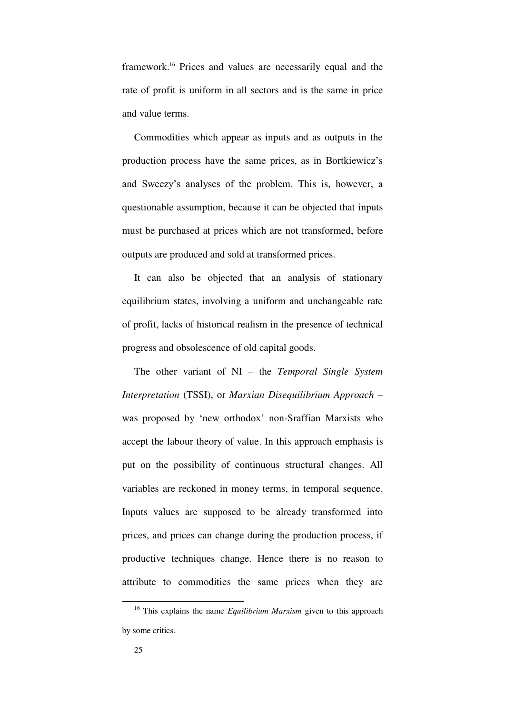framework.<sup>16</sup> Prices and values are necessarily equal and the rate of profit is uniform in all sectors and is the same in price and value terms.

Commodities which appear as inputs and as outputs in the production process have the same prices, as in Bortkiewicz's and Sweezy's analyses of the problem. This is, however, a questionable assumption, because it can be objected that inputs must be purchased at prices which are not transformed, before outputs are produced and sold at transformed prices.

It can also be objected that an analysis of stationary equilibrium states, involving a uniform and unchangeable rate of profit, lacks of historical realism in the presence of technical progress and obsolescence of old capital goods.

The other variant of NI – the *Temporal Single System Interpretation* (TSSI), or *Marxian Disequilibrium Approach* – was proposed by 'new orthodox' non-Sraffian Marxists who accept the labour theory of value. In this approach emphasis is put on the possibility of continuous structural changes. All variables are reckoned in money terms, in temporal sequence. Inputs values are supposed to be already transformed into prices, and prices can change during the production process, if productive techniques change. Hence there is no reason to attribute to commodities the same prices when they are

<sup>16</sup> This explains the name *Equilibrium Marxism* given to this approach by some critics.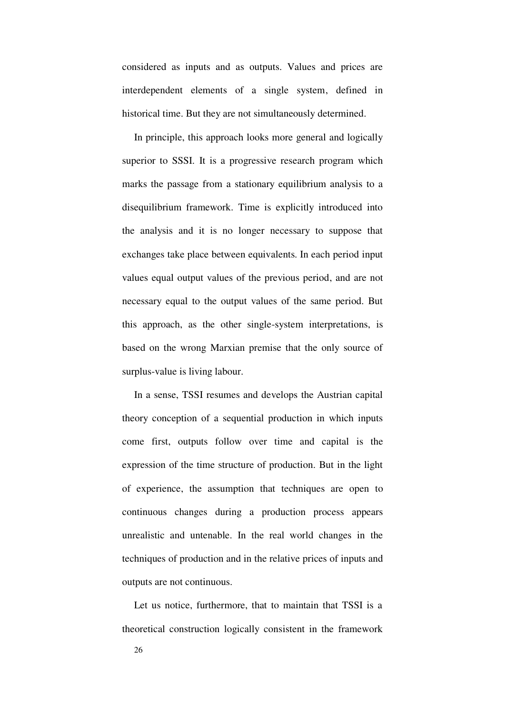considered as inputs and as outputs. Values and prices are interdependent elements of a single system, defined in historical time. But they are not simultaneously determined.

In principle, this approach looks more general and logically superior to SSSI. It is a progressive research program which marks the passage from a stationary equilibrium analysis to a disequilibrium framework. Time is explicitly introduced into the analysis and it is no longer necessary to suppose that exchanges take place between equivalents. In each period input values equal output values of the previous period, and are not necessary equal to the output values of the same period. But this approach, as the other single-system interpretations, is based on the wrong Marxian premise that the only source of surplus-value is living labour.

In a sense, TSSI resumes and develops the Austrian capital theory conception of a sequential production in which inputs come first, outputs follow over time and capital is the expression of the time structure of production. But in the light of experience, the assumption that techniques are open to continuous changes during a production process appears unrealistic and untenable. In the real world changes in the techniques of production and in the relative prices of inputs and outputs are not continuous.

Let us notice, furthermore, that to maintain that TSSI is a theoretical construction logically consistent in the framework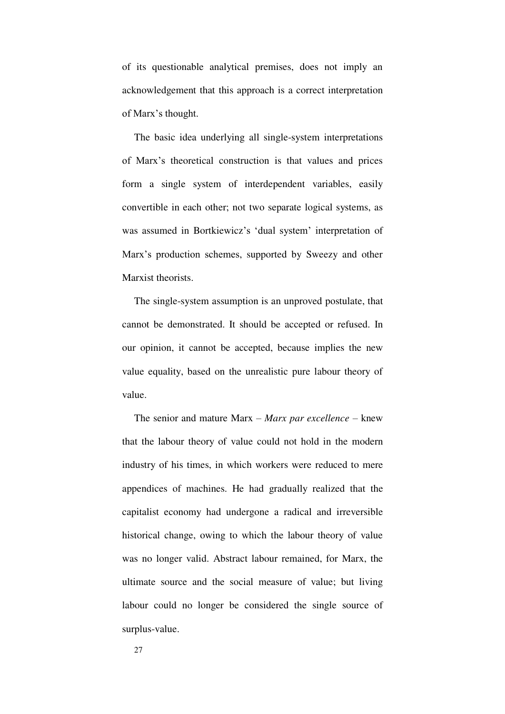of its questionable analytical premises, does not imply an acknowledgement that this approach is a correct interpretation of Marx's thought.

The basic idea underlying all single-system interpretations of Marx's theoretical construction is that values and prices form a single system of interdependent variables, easily convertible in each other; not two separate logical systems, as was assumed in Bortkiewicz's 'dual system' interpretation of Marx's production schemes, supported by Sweezy and other Marxist theorists.

The single-system assumption is an unproved postulate, that cannot be demonstrated. It should be accepted or refused. In our opinion, it cannot be accepted, because implies the new value equality, based on the unrealistic pure labour theory of value.

The senior and mature Marx – *Marx par excellence* – knew that the labour theory of value could not hold in the modern industry of his times, in which workers were reduced to mere appendices of machines. He had gradually realized that the capitalist economy had undergone a radical and irreversible historical change, owing to which the labour theory of value was no longer valid. Abstract labour remained, for Marx, the ultimate source and the social measure of value; but living labour could no longer be considered the single source of surplus-value.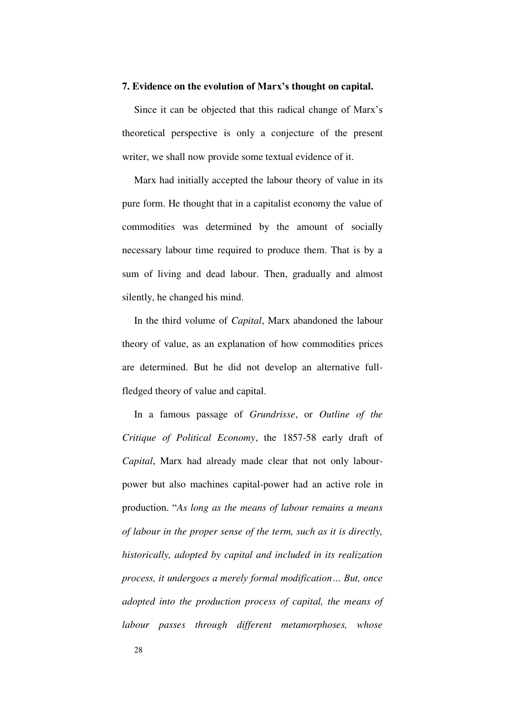### **7. Evidence on the evolution of Marx's thought on capital.**

Since it can be objected that this radical change of Marx's theoretical perspective is only a conjecture of the present writer, we shall now provide some textual evidence of it.

Marx had initially accepted the labour theory of value in its pure form. He thought that in a capitalist economy the value of commodities was determined by the amount of socially necessary labour time required to produce them. That is by a sum of living and dead labour. Then, gradually and almost silently, he changed his mind.

In the third volume of *Capital*, Marx abandoned the labour theory of value, as an explanation of how commodities prices are determined. But he did not develop an alternative fullfledged theory of value and capital.

In a famous passage of *Grundrisse*, or *Outline of the Critique of Political Economy*, the 1857-58 early draft of *Capital*, Marx had already made clear that not only labourpower but also machines capital-power had an active role in production. "*As long as the means of labour remains a means of labour in the proper sense of the term, such as it is directly, historically, adopted by capital and included in its realization process, it undergoes a merely formal modification… But, once adopted into the production process of capital, the means of labour passes through different metamorphoses, whose*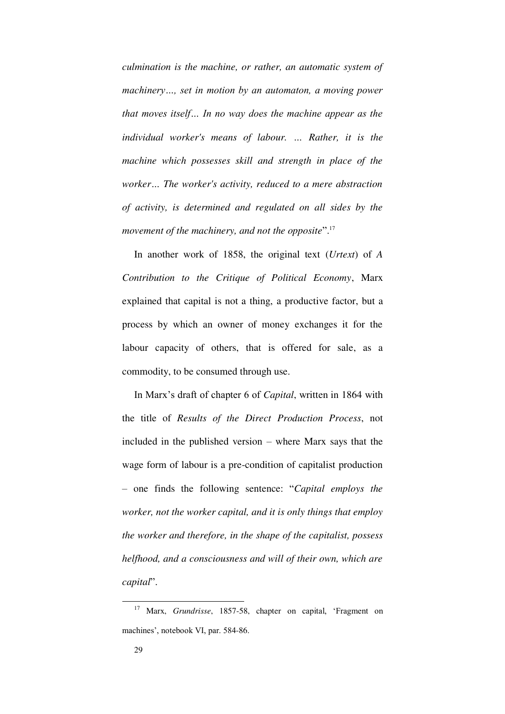*culmination is the machine, or rather, an automatic system of machinery…, set in motion by an automaton, a moving power that moves itself… In no way does the machine appear as the individual worker's means of labour. … Rather, it is the machine which possesses skill and strength in place of the worker… The worker's activity, reduced to a mere abstraction of activity, is determined and regulated on all sides by the movement of the machinery, and not the opposite*". 17

In another work of 1858, the original text (*Urtext*) of *A Contribution to the Critique of Political Economy*, Marx explained that capital is not a thing, a productive factor, but a process by which an owner of money exchanges it for the labour capacity of others, that is offered for sale, as a commodity, to be consumed through use.

In Marx's draft of chapter 6 of *Capital*, written in 1864 with the title of *Results of the Direct Production Process*, not included in the published version – where Marx says that the wage form of labour is a pre-condition of capitalist production – one finds the following sentence: "*Capital employs the worker, not the worker capital, and it is only things that employ the worker and therefore, in the shape of the capitalist, possess helfhood, and a consciousness and will of their own, which are capital*".

<sup>17</sup> Marx, *Grundrisse*, 1857-58, chapter on capital, 'Fragment on machines', notebook VI, par. 584-86.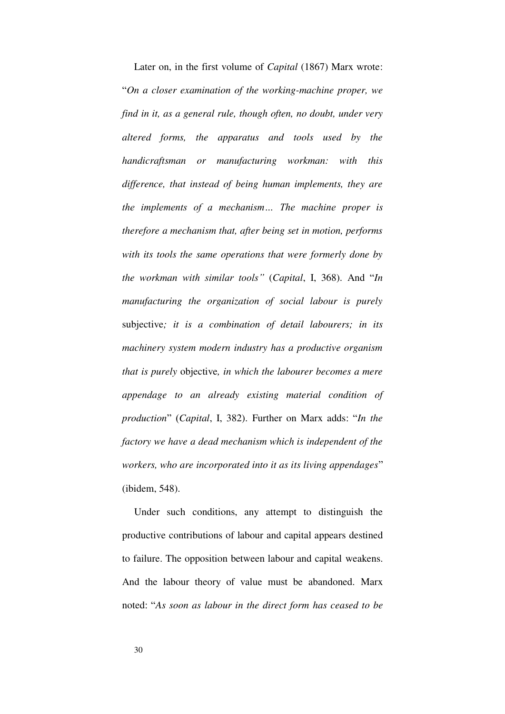Later on, in the first volume of *Capital* (1867) Marx wrote: "*On a closer examination of the working-machine proper, we find in it, as a general rule, though often, no doubt, under very altered forms, the apparatus and tools used by the handicraftsman or manufacturing workman: with this difference, that instead of being human implements, they are the implements of a mechanism… The machine proper is therefore a mechanism that, after being set in motion, performs with its tools the same operations that were formerly done by the workman with similar tools"* (*Capital*, I, 368). And "*In manufacturing the organization of social labour is purely*  subjective*; it is a combination of detail labourers; in its machinery system modern industry has a productive organism that is purely* objective*, in which the labourer becomes a mere appendage to an already existing material condition of production*" (*Capital*, I, 382). Further on Marx adds: "*In the factory we have a dead mechanism which is independent of the workers, who are incorporated into it as its living appendages*" (ibidem, 548).

Under such conditions, any attempt to distinguish the productive contributions of labour and capital appears destined to failure. The opposition between labour and capital weakens. And the labour theory of value must be abandoned. Marx noted: "*As soon as labour in the direct form has ceased to be*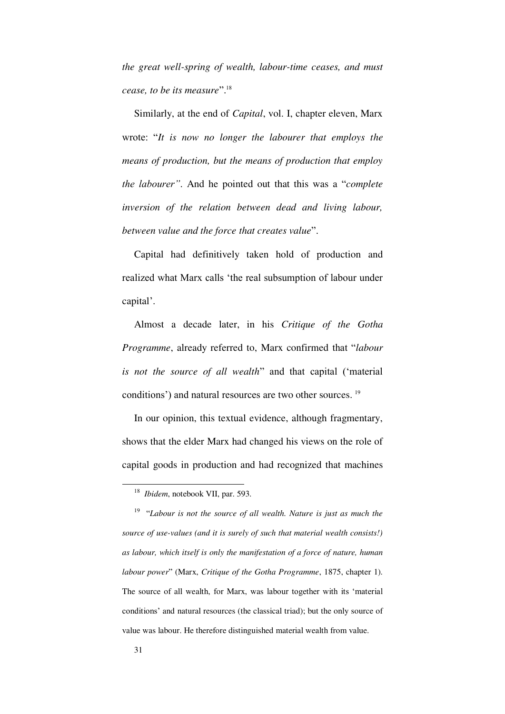*the great well-spring of wealth, labour-time ceases, and must cease, to be its measure*".<sup>18</sup>

Similarly, at the end of *Capital*, vol. I, chapter eleven, Marx wrote: "*It is now no longer the labourer that employs the means of production, but the means of production that employ the labourer"*. And he pointed out that this was a "*complete inversion of the relation between dead and living labour, between value and the force that creates value*".

Capital had definitively taken hold of production and realized what Marx calls 'the real subsumption of labour under capital'.

Almost a decade later, in his *Critique of the Gotha Programme*, already referred to, Marx confirmed that "*labour is not the source of all wealth*" and that capital ('material conditions') and natural resources are two other sources. <sup>19</sup>

In our opinion, this textual evidence, although fragmentary, shows that the elder Marx had changed his views on the role of capital goods in production and had recognized that machines

<sup>18</sup> *Ibidem*, notebook VII, par. 593.

<sup>19</sup> "*Labour is not the source of all wealth. Nature is just as much the source of use-values (and it is surely of such that material wealth consists!) as labour, which itself is only the manifestation of a force of nature, human labour power*" (Marx, *Critique of the Gotha Programme*, 1875, chapter 1)*.* The source of all wealth, for Marx, was labour together with its 'material conditions' and natural resources (the classical triad); but the only source of value was labour. He therefore distinguished material wealth from value.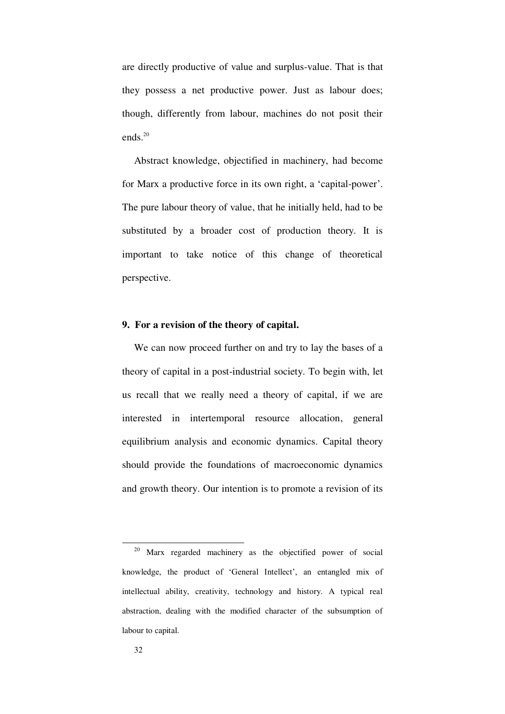are directly productive of value and surplus-value. That is that they possess a net productive power. Just as labour does; though, differently from labour, machines do not posit their ends. $20$ 

Abstract knowledge, objectified in machinery, had become for Marx a productive force in its own right, a 'capital-power'. The pure labour theory of value, that he initially held, had to be substituted by a broader cost of production theory. It is important to take notice of this change of theoretical perspective.

# **9. For a revision of the theory of capital.**

We can now proceed further on and try to lay the bases of a theory of capital in a post-industrial society. To begin with, let us recall that we really need a theory of capital, if we are interested in intertemporal resource allocation, general equilibrium analysis and economic dynamics. Capital theory should provide the foundations of macroeconomic dynamics and growth theory. Our intention is to promote a revision of its

<sup>.</sup> <sup>20</sup> Marx regarded machinery as the objectified power of social knowledge, the product of 'General Intellect', an entangled mix of intellectual ability, creativity, technology and history. A typical real abstraction, dealing with the modified character of the subsumption of labour to capital.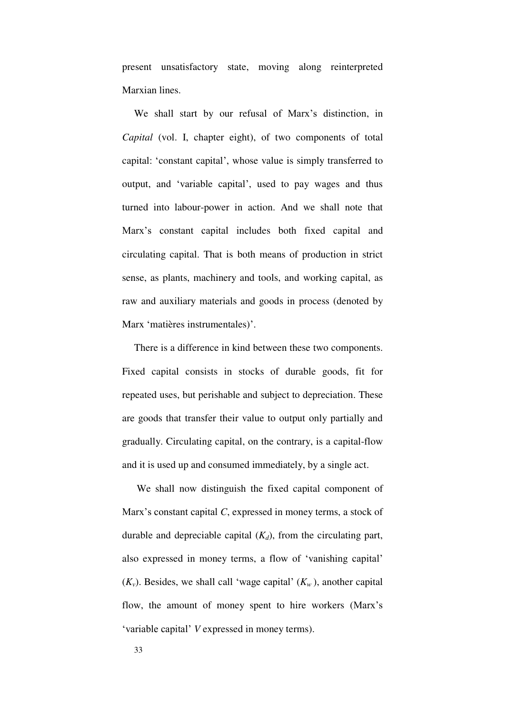present unsatisfactory state, moving along reinterpreted Marxian lines.

We shall start by our refusal of Marx's distinction, in *Capital* (vol. I, chapter eight), of two components of total capital: 'constant capital', whose value is simply transferred to output, and 'variable capital', used to pay wages and thus turned into labour-power in action. And we shall note that Marx's constant capital includes both fixed capital and circulating capital. That is both means of production in strict sense, as plants, machinery and tools, and working capital, as raw and auxiliary materials and goods in process (denoted by Marx 'matières instrumentales)'.

There is a difference in kind between these two components. Fixed capital consists in stocks of durable goods, fit for repeated uses, but perishable and subject to depreciation. These are goods that transfer their value to output only partially and gradually. Circulating capital, on the contrary, is a capital-flow and it is used up and consumed immediately, by a single act.

 We shall now distinguish the fixed capital component of Marx's constant capital *C*, expressed in money terms, a stock of durable and depreciable capital  $(K_d)$ , from the circulating part, also expressed in money terms, a flow of 'vanishing capital'  $(K_v)$ . Besides, we shall call 'wage capital'  $(K_w)$ , another capital flow, the amount of money spent to hire workers (Marx's 'variable capital' *V* expressed in money terms).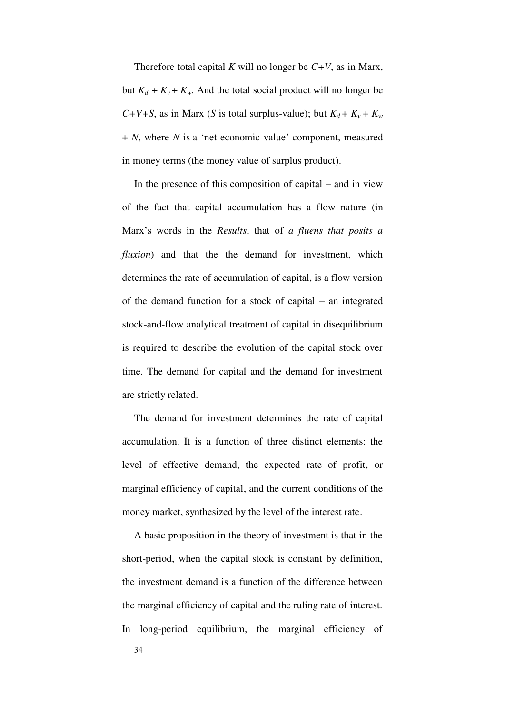Therefore total capital *K* will no longer be *C+V*, as in Marx, but  $K_d + K_v + K_w$ . And the total social product will no longer be *C*+*V*+*S*, as in Marx (*S* is total surplus-value); but  $K_d + K_v + K_w$ + *N*, where *N* is a 'net economic value' component, measured in money terms (the money value of surplus product).

In the presence of this composition of capital  $-$  and in view of the fact that capital accumulation has a flow nature (in Marx's words in the *Results*, that of *a fluens that posits a fluxion*) and that the the demand for investment, which determines the rate of accumulation of capital, is a flow version of the demand function for a stock of capital – an integrated stock-and-flow analytical treatment of capital in disequilibrium is required to describe the evolution of the capital stock over time. The demand for capital and the demand for investment are strictly related.

The demand for investment determines the rate of capital accumulation. It is a function of three distinct elements: the level of effective demand, the expected rate of profit, or marginal efficiency of capital, and the current conditions of the money market, synthesized by the level of the interest rate.

A basic proposition in the theory of investment is that in the short-period, when the capital stock is constant by definition, the investment demand is a function of the difference between the marginal efficiency of capital and the ruling rate of interest. In long-period equilibrium, the marginal efficiency of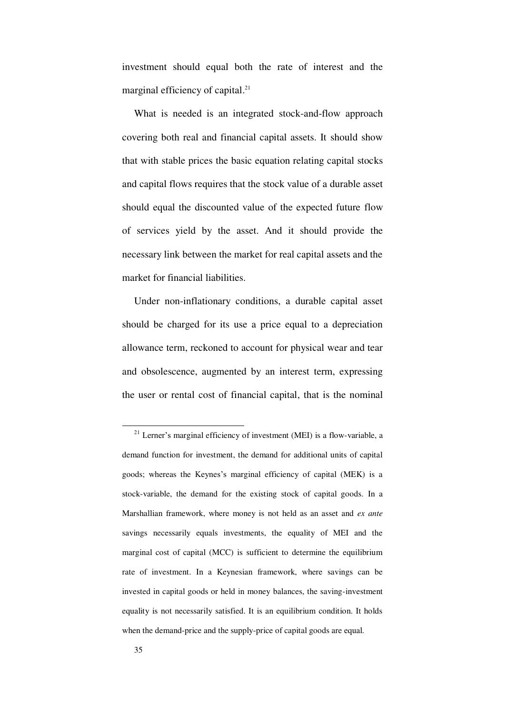investment should equal both the rate of interest and the marginal efficiency of capital.<sup>21</sup>

What is needed is an integrated stock-and-flow approach covering both real and financial capital assets. It should show that with stable prices the basic equation relating capital stocks and capital flows requires that the stock value of a durable asset should equal the discounted value of the expected future flow of services yield by the asset. And it should provide the necessary link between the market for real capital assets and the market for financial liabilities.

Under non-inflationary conditions, a durable capital asset should be charged for its use a price equal to a depreciation allowance term, reckoned to account for physical wear and tear and obsolescence, augmented by an interest term, expressing the user or rental cost of financial capital, that is the nominal

 $21$  Lerner's marginal efficiency of investment (MEI) is a flow-variable, a demand function for investment, the demand for additional units of capital goods; whereas the Keynes's marginal efficiency of capital (MEK) is a stock-variable, the demand for the existing stock of capital goods. In a Marshallian framework, where money is not held as an asset and *ex ante* savings necessarily equals investments, the equality of MEI and the marginal cost of capital (MCC) is sufficient to determine the equilibrium rate of investment. In a Keynesian framework, where savings can be invested in capital goods or held in money balances, the saving-investment equality is not necessarily satisfied. It is an equilibrium condition. It holds when the demand-price and the supply-price of capital goods are equal.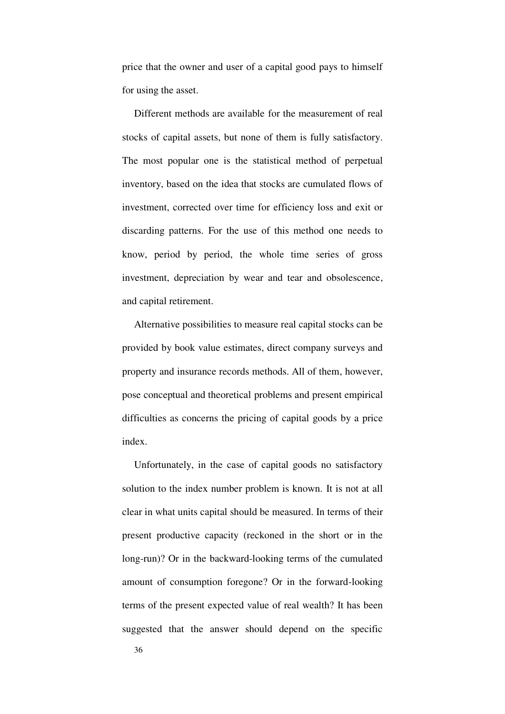price that the owner and user of a capital good pays to himself for using the asset.

Different methods are available for the measurement of real stocks of capital assets, but none of them is fully satisfactory. The most popular one is the statistical method of perpetual inventory, based on the idea that stocks are cumulated flows of investment, corrected over time for efficiency loss and exit or discarding patterns. For the use of this method one needs to know, period by period, the whole time series of gross investment, depreciation by wear and tear and obsolescence, and capital retirement.

Alternative possibilities to measure real capital stocks can be provided by book value estimates, direct company surveys and property and insurance records methods. All of them, however, pose conceptual and theoretical problems and present empirical difficulties as concerns the pricing of capital goods by a price index.

Unfortunately, in the case of capital goods no satisfactory solution to the index number problem is known. It is not at all clear in what units capital should be measured. In terms of their present productive capacity (reckoned in the short or in the long-run)? Or in the backward-looking terms of the cumulated amount of consumption foregone? Or in the forward-looking terms of the present expected value of real wealth? It has been suggested that the answer should depend on the specific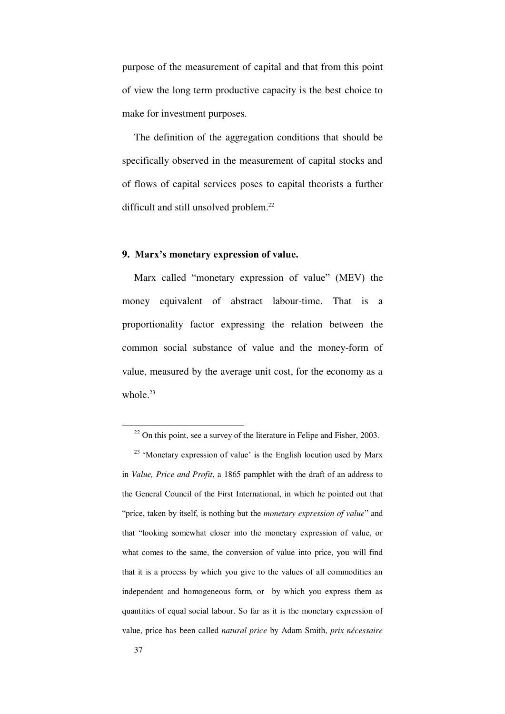purpose of the measurement of capital and that from this point of view the long term productive capacity is the best choice to make for investment purposes.

The definition of the aggregation conditions that should be specifically observed in the measurement of capital stocks and of flows of capital services poses to capital theorists a further difficult and still unsolved problem.<sup>22</sup>

### **9. Marx's monetary expression of value.**

Marx called "monetary expression of value" (MEV) the money equivalent of abstract labour-time. That is a proportionality factor expressing the relation between the common social substance of value and the money-form of value, measured by the average unit cost, for the economy as a whole. $23$ 

 $22$  On this point, see a survey of the literature in Felipe and Fisher, 2003.

 $23$  'Monetary expression of value' is the English locution used by Marx in *Value, Price and Profit*, a 1865 pamphlet with the draft of an address to the General Council of the First International, in which he pointed out that "price, taken by itself, is nothing but the *monetary expression of value*" and that "looking somewhat closer into the monetary expression of value, or what comes to the same, the conversion of value into price, you will find that it is a process by which you give to the values of all commodities an independent and homogeneous form, or by which you express them as quantities of equal social labour. So far as it is the monetary expression of value, price has been called *natural price* by Adam Smith, *prix nécessaire*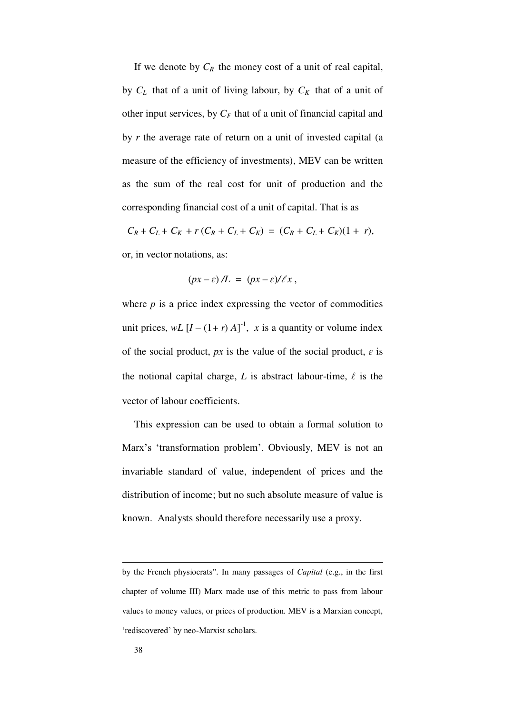If we denote by  $C_R$  the money cost of a unit of real capital, by  $C_L$  that of a unit of living labour, by  $C_K$  that of a unit of other input services, by  $C_F$  that of a unit of financial capital and by *r* the average rate of return on a unit of invested capital (a measure of the efficiency of investments), MEV can be written as the sum of the real cost for unit of production and the corresponding financial cost of a unit of capital. That is as

 $C_R + C_L + C_K + r(C_R + C_L + C_K) = (C_R + C_L + C_K)(1 + r),$ 

or, in vector notations, as:

$$
(px-\varepsilon)/L = (px-\varepsilon)/\ell x,
$$

where  $p$  is a price index expressing the vector of commodities unit prices,  $wL$   $[I - (1 + r)A]$ <sup>-1</sup>, *x* is a quantity or volume index of the social product,  $px$  is the value of the social product,  $\varepsilon$  is the notional capital charge,  $L$  is abstract labour-time,  $\ell$  is the vector of labour coefficients.

This expression can be used to obtain a formal solution to Marx's 'transformation problem'. Obviously, MEV is not an invariable standard of value, independent of prices and the distribution of income; but no such absolute measure of value is known. Analysts should therefore necessarily use a proxy.

by the French physiocrats". In many passages of *Capital* (e.g., in the first chapter of volume III) Marx made use of this metric to pass from labour values to money values, or prices of production. MEV is a Marxian concept, 'rediscovered' by neo-Marxist scholars.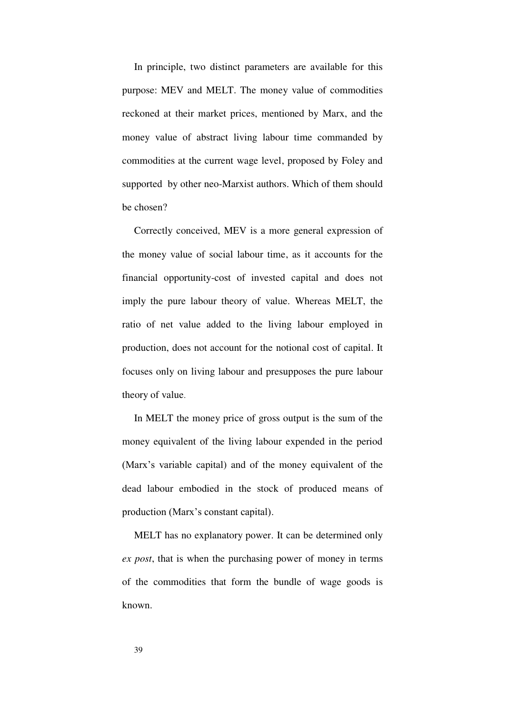In principle, two distinct parameters are available for this purpose: MEV and MELT. The money value of commodities reckoned at their market prices, mentioned by Marx, and the money value of abstract living labour time commanded by commodities at the current wage level, proposed by Foley and supported by other neo-Marxist authors. Which of them should be chosen?

Correctly conceived, MEV is a more general expression of the money value of social labour time, as it accounts for the financial opportunity-cost of invested capital and does not imply the pure labour theory of value. Whereas MELT, the ratio of net value added to the living labour employed in production, does not account for the notional cost of capital. It focuses only on living labour and presupposes the pure labour theory of value.

In MELT the money price of gross output is the sum of the money equivalent of the living labour expended in the period (Marx's variable capital) and of the money equivalent of the dead labour embodied in the stock of produced means of production (Marx's constant capital).

MELT has no explanatory power. It can be determined only *ex post*, that is when the purchasing power of money in terms of the commodities that form the bundle of wage goods is known.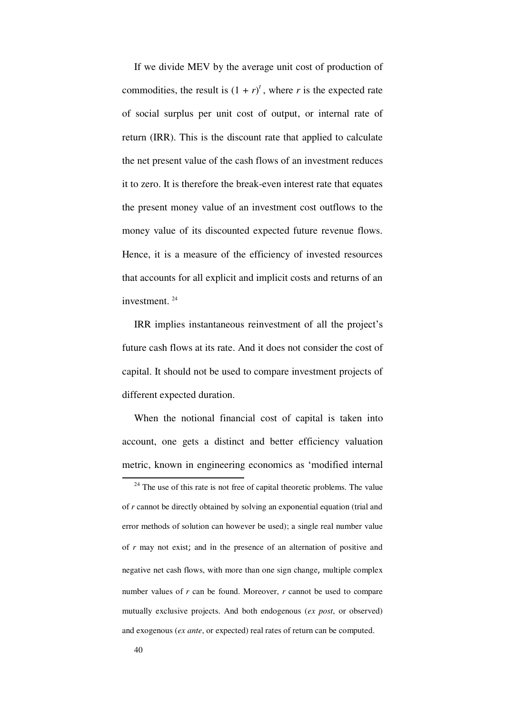If we divide MEV by the average unit cost of production of commodities, the result is  $(1 + r)^t$ , where *r* is the expected rate of social surplus per unit cost of output, or internal rate of return (IRR). This is the discount rate that applied to calculate the net present value of the cash flows of an investment reduces it to zero. It is therefore the break-even interest rate that equates the present money value of an investment cost outflows to the money value of its discounted expected future revenue flows. Hence, it is a measure of the efficiency of invested resources that accounts for all explicit and implicit costs and returns of an investment. <sup>24</sup>

IRR implies instantaneous reinvestment of all the project's future cash flows at its rate. And it does not consider the cost of capital. It should not be used to compare investment projects of different expected duration.

When the notional financial cost of capital is taken into account, one gets a distinct and better efficiency valuation metric, known in engineering economics as 'modified internal

 $24$  The use of this rate is not free of capital theoretic problems. The value of *r* cannot be directly obtained by solving an exponential equation (trial and error methods of solution can however be used); a single real number value of *r* may not exist; and in the presence of an alternation of positive and negative net cash flows, with more than one sign change, multiple complex number values of *r* can be found. Moreover, *r* cannot be used to compare mutually exclusive projects. And both endogenous (*ex post*, or observed) and exogenous (*ex ante*, or expected) real rates of return can be computed.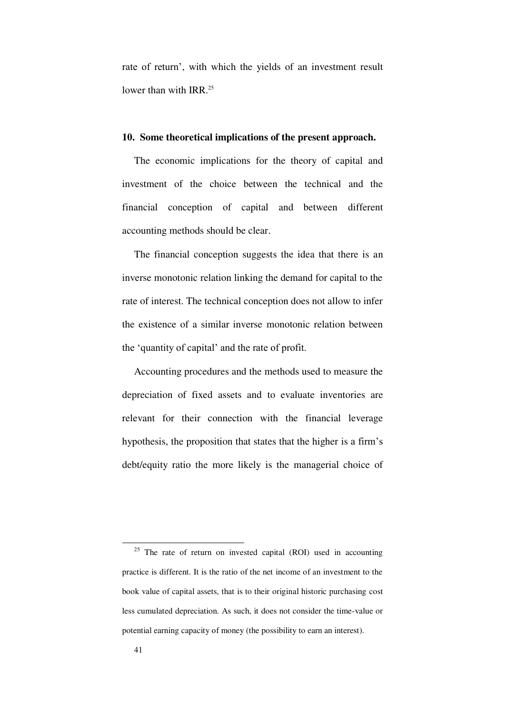rate of return', with which the yields of an investment result lower than with IRR.<sup>25</sup>

### **10. Some theoretical implications of the present approach.**

The economic implications for the theory of capital and investment of the choice between the technical and the financial conception of capital and between different accounting methods should be clear.

The financial conception suggests the idea that there is an inverse monotonic relation linking the demand for capital to the rate of interest. The technical conception does not allow to infer the existence of a similar inverse monotonic relation between the 'quantity of capital' and the rate of profit.

Accounting procedures and the methods used to measure the depreciation of fixed assets and to evaluate inventories are relevant for their connection with the financial leverage hypothesis, the proposition that states that the higher is a firm's debt/equity ratio the more likely is the managerial choice of

 $25$  The rate of return on invested capital (ROI) used in accounting practice is different. It is the ratio of the net income of an investment to the book value of capital assets, that is to their original historic purchasing cost less cumulated depreciation. As such, it does not consider the time-value or potential earning capacity of money (the possibility to earn an interest).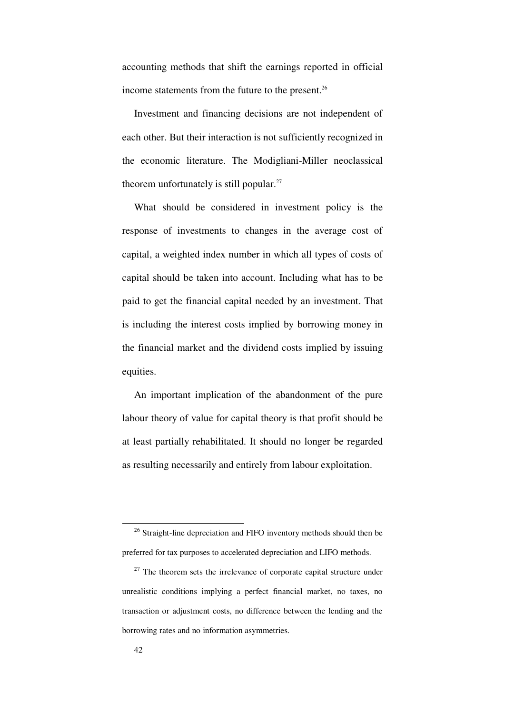accounting methods that shift the earnings reported in official income statements from the future to the present. $26$ 

Investment and financing decisions are not independent of each other. But their interaction is not sufficiently recognized in the economic literature. The Modigliani-Miller neoclassical theorem unfortunately is still popular. $27$ 

What should be considered in investment policy is the response of investments to changes in the average cost of capital, a weighted index number in which all types of costs of capital should be taken into account. Including what has to be paid to get the financial capital needed by an investment. That is including the interest costs implied by borrowing money in the financial market and the dividend costs implied by issuing equities.

An important implication of the abandonment of the pure labour theory of value for capital theory is that profit should be at least partially rehabilitated. It should no longer be regarded as resulting necessarily and entirely from labour exploitation.

<sup>&</sup>lt;sup>26</sup> Straight-line depreciation and FIFO inventory methods should then be preferred for tax purposes to accelerated depreciation and LIFO methods.

 $27$  The theorem sets the irrelevance of corporate capital structure under unrealistic conditions implying a perfect financial market, no taxes, no transaction or adjustment costs, no difference between the lending and the borrowing rates and no information asymmetries.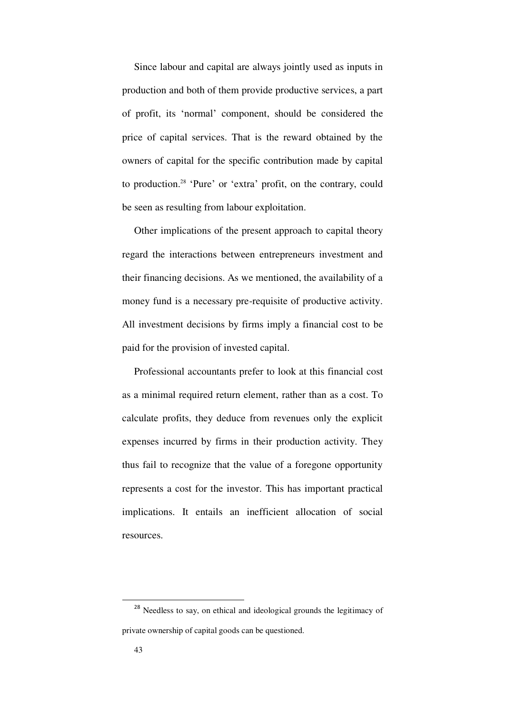Since labour and capital are always jointly used as inputs in production and both of them provide productive services, a part of profit, its 'normal' component, should be considered the price of capital services. That is the reward obtained by the owners of capital for the specific contribution made by capital to production.<sup>28</sup> 'Pure' or 'extra' profit, on the contrary, could be seen as resulting from labour exploitation.

Other implications of the present approach to capital theory regard the interactions between entrepreneurs investment and their financing decisions. As we mentioned, the availability of a money fund is a necessary pre-requisite of productive activity. All investment decisions by firms imply a financial cost to be paid for the provision of invested capital.

Professional accountants prefer to look at this financial cost as a minimal required return element, rather than as a cost. To calculate profits, they deduce from revenues only the explicit expenses incurred by firms in their production activity. They thus fail to recognize that the value of a foregone opportunity represents a cost for the investor. This has important practical implications. It entails an inefficient allocation of social resources.

<sup>&</sup>lt;sup>28</sup> Needless to say, on ethical and ideological grounds the legitimacy of private ownership of capital goods can be questioned.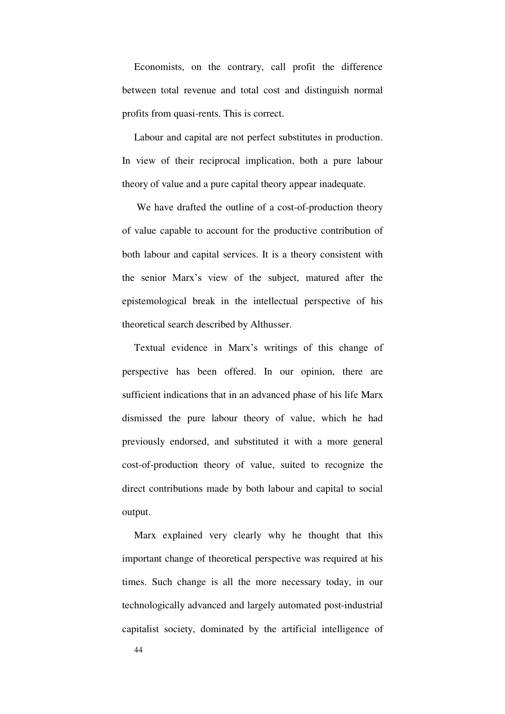Economists, on the contrary, call profit the difference between total revenue and total cost and distinguish normal profits from quasi-rents. This is correct.

Labour and capital are not perfect substitutes in production. In view of their reciprocal implication, both a pure labour theory of value and a pure capital theory appear inadequate.

We have drafted the outline of a cost-of-production theory of value capable to account for the productive contribution of both labour and capital services. It is a theory consistent with the senior Marx's view of the subject, matured after the epistemological break in the intellectual perspective of his theoretical search described by Althusser.

Textual evidence in Marx's writings of this change of perspective has been offered. In our opinion, there are sufficient indications that in an advanced phase of his life Marx dismissed the pure labour theory of value, which he had previously endorsed, and substituted it with a more general cost-of-production theory of value, suited to recognize the direct contributions made by both labour and capital to social output.

Marx explained very clearly why he thought that this important change of theoretical perspective was required at his times. Such change is all the more necessary today, in our technologically advanced and largely automated post-industrial capitalist society, dominated by the artificial intelligence of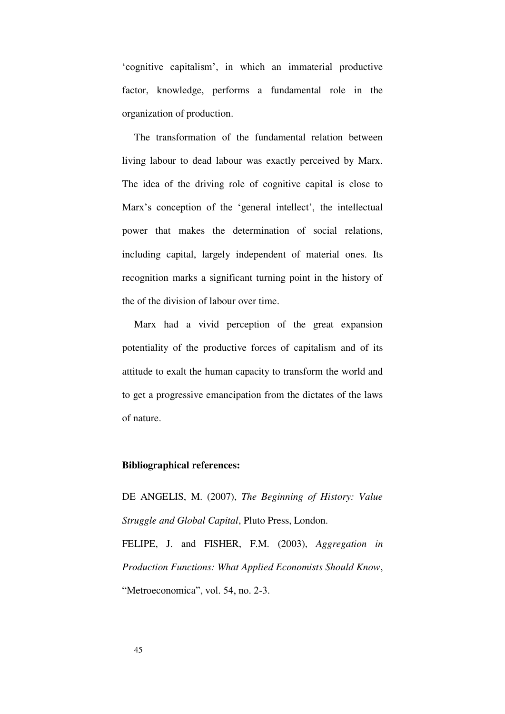'cognitive capitalism', in which an immaterial productive factor, knowledge, performs a fundamental role in the organization of production.

The transformation of the fundamental relation between living labour to dead labour was exactly perceived by Marx. The idea of the driving role of cognitive capital is close to Marx's conception of the 'general intellect', the intellectual power that makes the determination of social relations, including capital, largely independent of material ones. Its recognition marks a significant turning point in the history of the of the division of labour over time.

Marx had a vivid perception of the great expansion potentiality of the productive forces of capitalism and of its attitude to exalt the human capacity to transform the world and to get a progressive emancipation from the dictates of the laws of nature.

### **Bibliographical references:**

DE ANGELIS, M. (2007), *The Beginning of History: Value Struggle and Global Capital*, Pluto Press, London. FELIPE, J. and FISHER, F.M. (2003), *Aggregation in Production Functions: What Applied Economists Should Know*, "Metroeconomica", vol. 54, no. 2-3.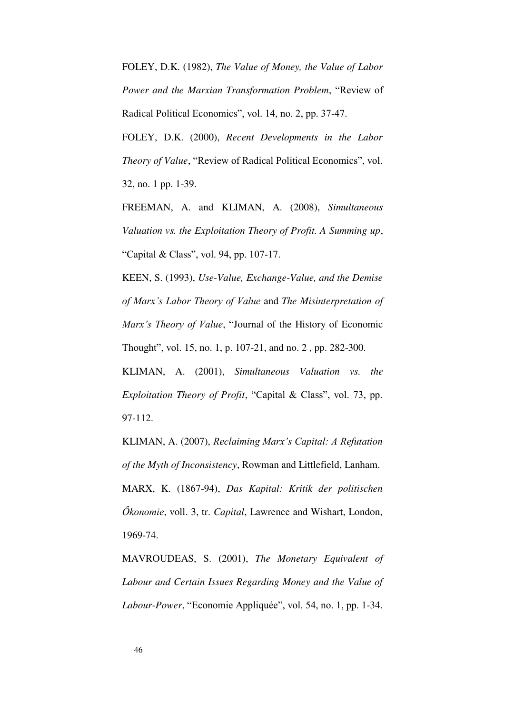FOLEY, D.K. (1982), *The Value of Money, the Value of Labor Power and the Marxian Transformation Problem*, "Review of Radical Political Economics", vol. 14, no. 2, pp. 37-47.

FOLEY, D.K. (2000), *Recent Developments in the Labor Theory of Value*, "Review of Radical Political Economics", vol. 32, no. 1 pp. 1-39.

FREEMAN, A. and KLIMAN, A. (2008), *Simultaneous Valuation vs. the Exploitation Theory of Profit. A Summing up*, "Capital & Class", vol. 94, pp. 107-17.

KEEN, S. (1993), *Use-Value, Exchange-Value, and the Demise of Marx's Labor Theory of Value* and *The Misinterpretation of Marx's Theory of Value*, "Journal of the History of Economic Thought", vol. 15, no. 1, p. 107-21, and no. 2 , pp. 282-300.

KLIMAN, A. (2001), *Simultaneous Valuation vs. the Exploitation Theory of Profit*, "Capital & Class", vol. 73, pp. 97-112.

KLIMAN, A. (2007), *Reclaiming Marx's Capital: A Refutation of the Myth of Inconsistency*, Rowman and Littlefield, Lanham. MARX, K. (1867-94), *Das Kapital: Kritik der politischen Őkonomie*, voll. 3, tr. *Capital*, Lawrence and Wishart, London, 1969-74.

MAVROUDEAS, S. (2001), *The Monetary Equivalent of Labour and Certain Issues Regarding Money and the Value of Labour-Power*, "Economie Appliquée", vol. 54, no. 1, pp. 1-34.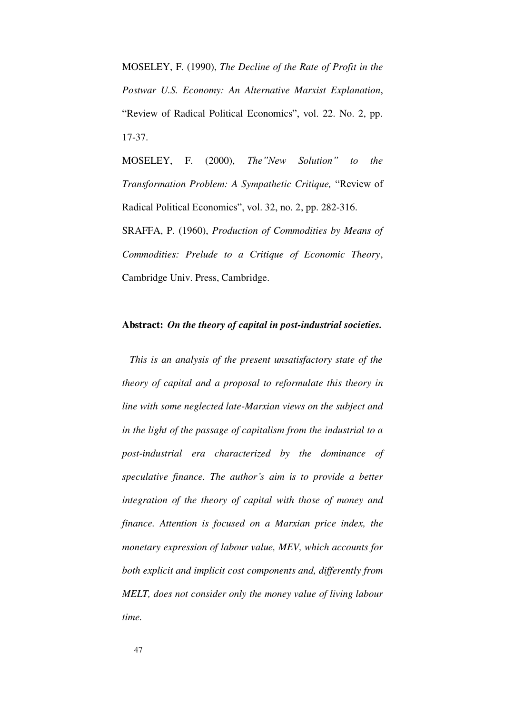MOSELEY, F. (1990), *The Decline of the Rate of Profit in the Postwar U.S. Economy: An Alternative Marxist Explanation*, "Review of Radical Political Economics", vol. 22. No. 2, pp. 17-37.

MOSELEY, F. (2000), *The"New Solution" to the Transformation Problem: A Sympathetic Critique,* "Review of Radical Political Economics", vol. 32, no. 2, pp. 282-316. SRAFFA, P. (1960), *Production of Commodities by Means of Commodities: Prelude to a Critique of Economic Theory*, Cambridge Univ. Press, Cambridge.

### **Abstract:** *On the theory of capital in post-industrial societies.*

 *This is an analysis of the present unsatisfactory state of the theory of capital and a proposal to reformulate this theory in line with some neglected late-Marxian views on the subject and in the light of the passage of capitalism from the industrial to a post-industrial era characterized by the dominance of speculative finance. The author's aim is to provide a better integration of the theory of capital with those of money and finance. Attention is focused on a Marxian price index, the monetary expression of labour value, MEV, which accounts for both explicit and implicit cost components and, differently from MELT, does not consider only the money value of living labour time.*